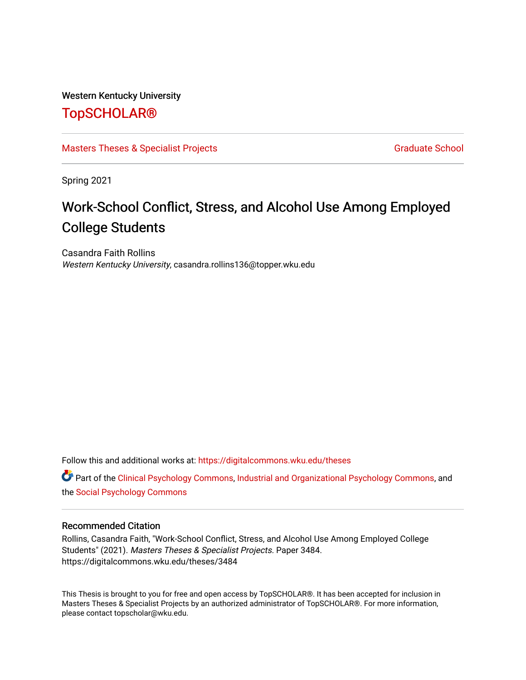### Western Kentucky University

# [TopSCHOLAR®](https://digitalcommons.wku.edu/)

[Masters Theses & Specialist Projects](https://digitalcommons.wku.edu/theses) [Graduate School](https://digitalcommons.wku.edu/Graduate) Craduate School Craduate School

Spring 2021

# Work-School Conflict, Stress, and Alcohol Use Among Employed College Students

Casandra Faith Rollins Western Kentucky University, casandra.rollins136@topper.wku.edu

Follow this and additional works at: [https://digitalcommons.wku.edu/theses](https://digitalcommons.wku.edu/theses?utm_source=digitalcommons.wku.edu%2Ftheses%2F3484&utm_medium=PDF&utm_campaign=PDFCoverPages) 

**C** Part of the [Clinical Psychology Commons,](http://network.bepress.com/hgg/discipline/406?utm_source=digitalcommons.wku.edu%2Ftheses%2F3484&utm_medium=PDF&utm_campaign=PDFCoverPages) [Industrial and Organizational Psychology Commons,](http://network.bepress.com/hgg/discipline/412?utm_source=digitalcommons.wku.edu%2Ftheses%2F3484&utm_medium=PDF&utm_campaign=PDFCoverPages) and the [Social Psychology Commons](http://network.bepress.com/hgg/discipline/414?utm_source=digitalcommons.wku.edu%2Ftheses%2F3484&utm_medium=PDF&utm_campaign=PDFCoverPages) 

#### Recommended Citation

Rollins, Casandra Faith, "Work-School Conflict, Stress, and Alcohol Use Among Employed College Students" (2021). Masters Theses & Specialist Projects. Paper 3484. https://digitalcommons.wku.edu/theses/3484

This Thesis is brought to you for free and open access by TopSCHOLAR®. It has been accepted for inclusion in Masters Theses & Specialist Projects by an authorized administrator of TopSCHOLAR®. For more information, please contact topscholar@wku.edu.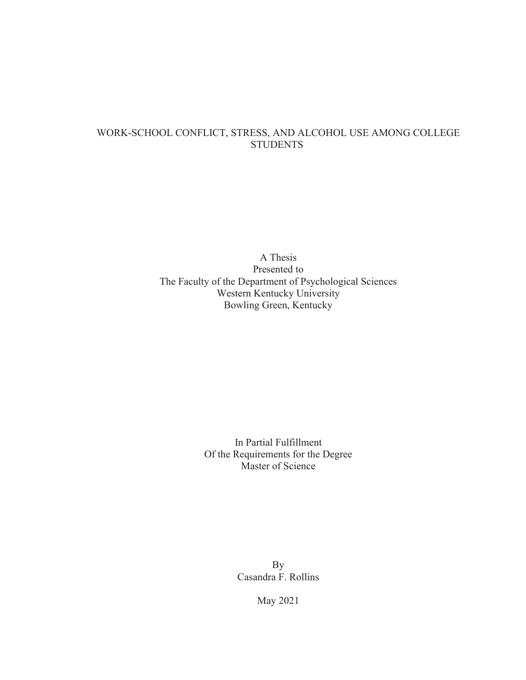## WORK-SCHOOL CONFLICT, STRESS, AND ALCOHOL USE AMONG COLLEGE **STUDENTS**

A Thesis Presented to The Faculty of the Department of Psychological Sciences Western Kentucky University Bowling Green, Kentucky

> In Partial Fulfillment Of the Requirements for the Degree Master of Science

> > By Casandra F. Rollins

> > > May 2021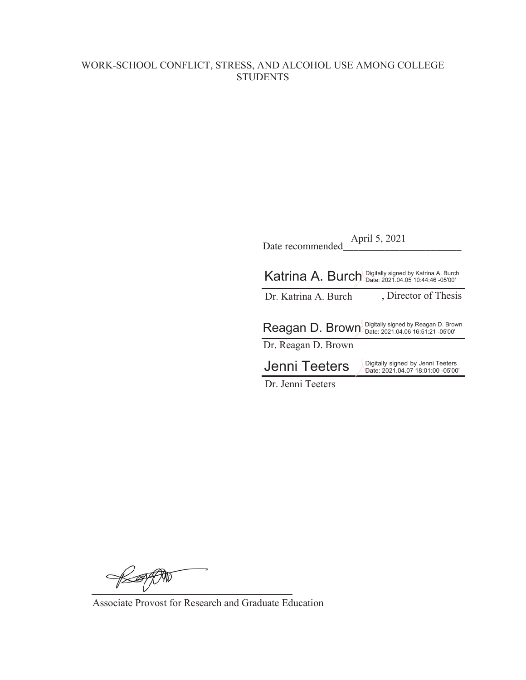# WORK-SCHOOL CONFLICT, STRESS, AND ALCOHOL USE AMONG COLLEGE **STUDENTS**

| April 5, 2021<br>Date recommended |                                                                          |  |  |  |  |  |  |
|-----------------------------------|--------------------------------------------------------------------------|--|--|--|--|--|--|
|                                   | Katrina A. Burch Digitally signed by Katrina A. Burch                    |  |  |  |  |  |  |
| Dr. Katrina A. Burch              | , Director of Thesis                                                     |  |  |  |  |  |  |
| Reagan D. Brown                   | Digitally signed by Reagan D. Brown<br>Date: 2021.04.06 16:51:21 -05'00' |  |  |  |  |  |  |
| Dr. Reagan D. Brown               |                                                                          |  |  |  |  |  |  |
| Jenni Teeters                     | Digitally signed by Jenni Teeters<br>Date: 2021.04.07 18:01:00 -05'00'   |  |  |  |  |  |  |
| Dr. Jenni Teeters                 |                                                                          |  |  |  |  |  |  |

BEFFON

Associate Provost for Research and Graduate Education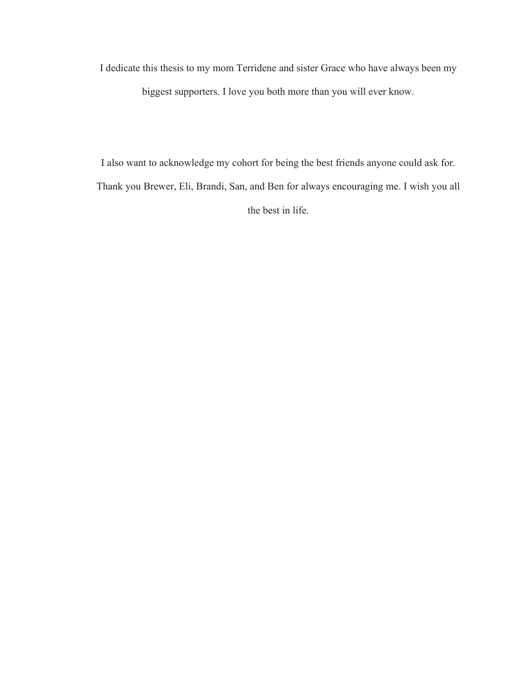I dedicate this thesis to my mom Terridene and sister Grace who have always been my biggest supporters. I love you both more than you will ever know.

I also want to acknowledge my cohort for being the best friends anyone could ask for. Thank you Brewer, Eli, Brandi, San, and Ben for always encouraging me. I wish you all the best in life.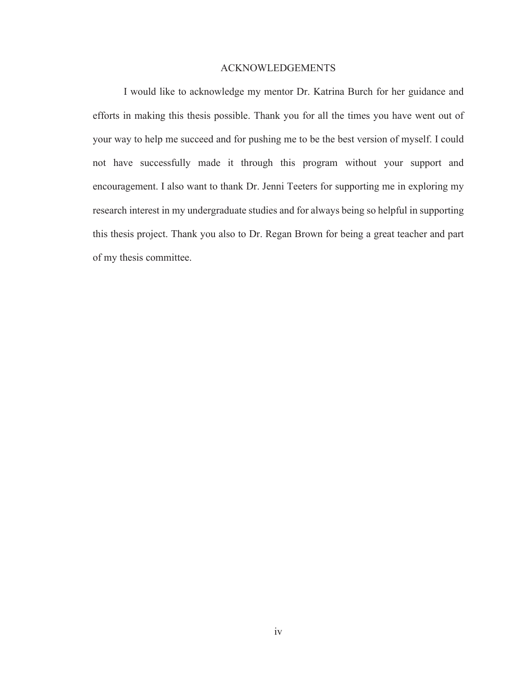#### ACKNOWLEDGEMENTS

I would like to acknowledge my mentor Dr. Katrina Burch for her guidance and efforts in making this thesis possible. Thank you for all the times you have went out of your way to help me succeed and for pushing me to be the best version of myself. I could not have successfully made it through this program without your support and encouragement. I also want to thank Dr. Jenni Teeters for supporting me in exploring my research interest in my undergraduate studies and for always being so helpful in supporting this thesis project. Thank you also to Dr. Regan Brown for being a great teacher and part of my thesis committee.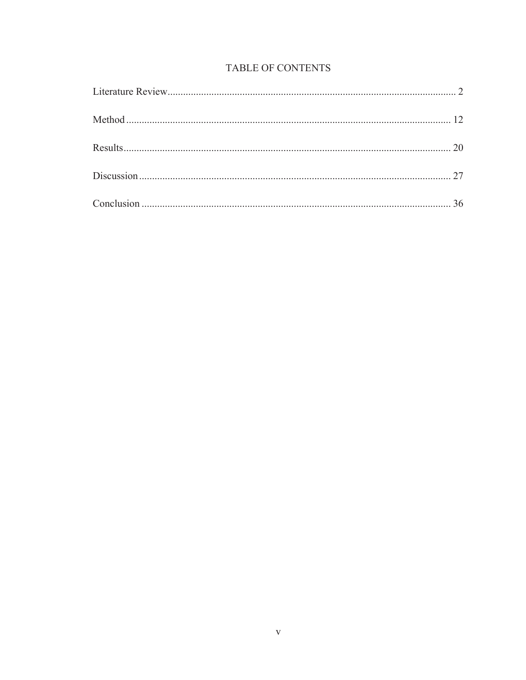# TABLE OF CONTENTS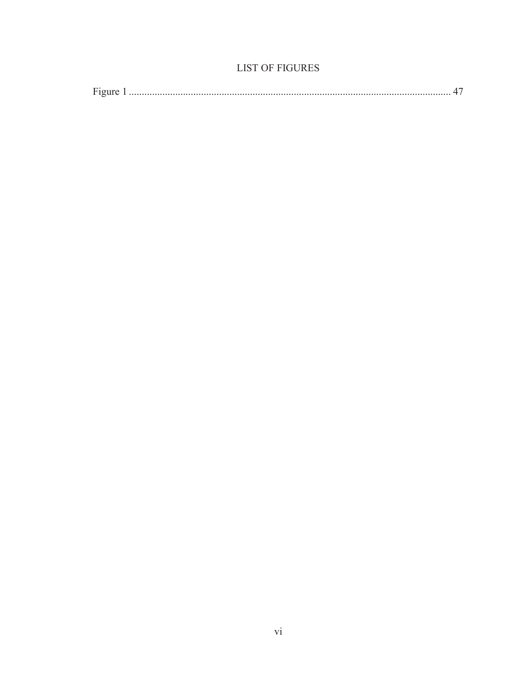# **LIST OF FIGURES**

| – |  |  |  |
|---|--|--|--|
|---|--|--|--|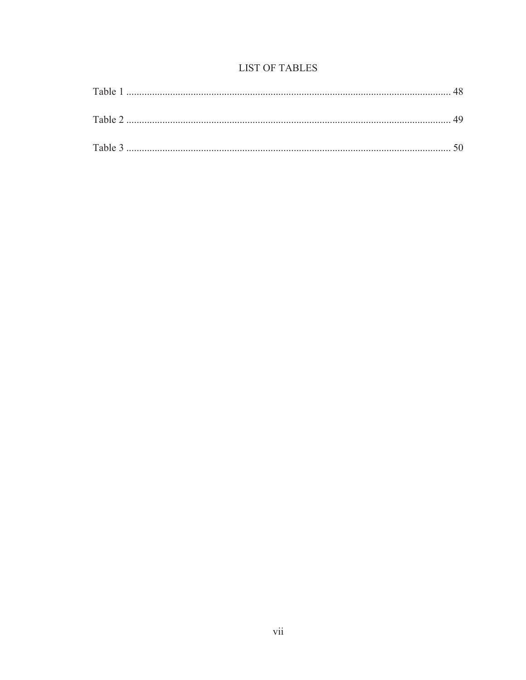# **LIST OF TABLES**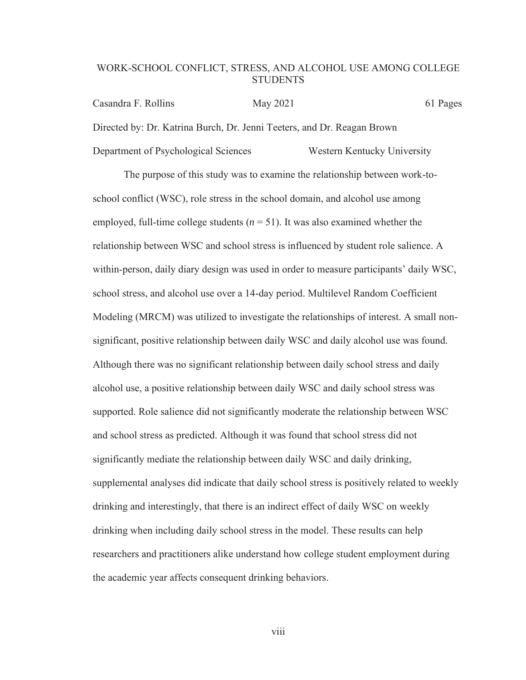### WORK-SCHOOL CONFLICT, STRESS, AND ALCOHOL USE AMONG COLLEGE **STUDENTS**

Casandra F. Rollins May 2021 61 Pages Directed by: Dr. Katrina Burch, Dr. Jenni Teeters, and Dr. Reagan Brown Department of Psychological Sciences Western Kentucky University

The purpose of this study was to examine the relationship between work-toschool conflict (WSC), role stress in the school domain, and alcohol use among employed, full-time college students  $(n = 51)$ . It was also examined whether the relationship between WSC and school stress is influenced by student role salience. A within-person, daily diary design was used in order to measure participants' daily WSC, school stress, and alcohol use over a 14-day period. Multilevel Random Coefficient Modeling (MRCM) was utilized to investigate the relationships of interest. A small nonsignificant, positive relationship between daily WSC and daily alcohol use was found. Although there was no significant relationship between daily school stress and daily alcohol use, a positive relationship between daily WSC and daily school stress was supported. Role salience did not significantly moderate the relationship between WSC and school stress as predicted. Although it was found that school stress did not significantly mediate the relationship between daily WSC and daily drinking, supplemental analyses did indicate that daily school stress is positively related to weekly drinking and interestingly, that there is an indirect effect of daily WSC on weekly drinking when including daily school stress in the model. These results can help researchers and practitioners alike understand how college student employment during the academic year affects consequent drinking behaviors.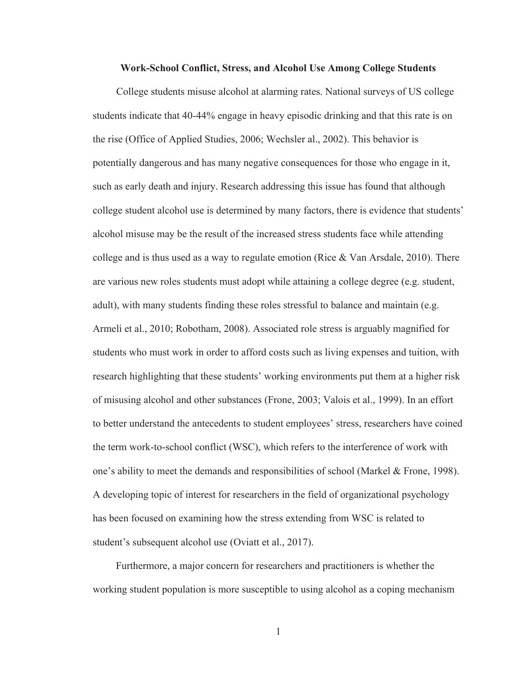#### **Work-School Conflict, Stress, and Alcohol Use Among College Students**

College students misuse alcohol at alarming rates. National surveys of US college students indicate that 40-44% engage in heavy episodic drinking and that this rate is on the rise (Office of Applied Studies, 2006; Wechsler al., 2002). This behavior is potentially dangerous and has many negative consequences for those who engage in it, such as early death and injury. Research addressing this issue has found that although college student alcohol use is determined by many factors, there is evidence that students' alcohol misuse may be the result of the increased stress students face while attending college and is thus used as a way to regulate emotion (Rice & Van Arsdale, 2010). There are various new roles students must adopt while attaining a college degree (e.g. student, adult), with many students finding these roles stressful to balance and maintain (e.g. Armeli et al., 2010; Robotham, 2008). Associated role stress is arguably magnified for students who must work in order to afford costs such as living expenses and tuition, with research highlighting that these students' working environments put them at a higher risk of misusing alcohol and other substances (Frone, 2003; Valois et al., 1999). In an effort to better understand the antecedents to student employees' stress, researchers have coined the term work-to-school conflict (WSC), which refers to the interference of work with one's ability to meet the demands and responsibilities of school (Markel & Frone, 1998). A developing topic of interest for researchers in the field of organizational psychology has been focused on examining how the stress extending from WSC is related to student's subsequent alcohol use (Oviatt et al., 2017).

Furthermore, a major concern for researchers and practitioners is whether the working student population is more susceptible to using alcohol as a coping mechanism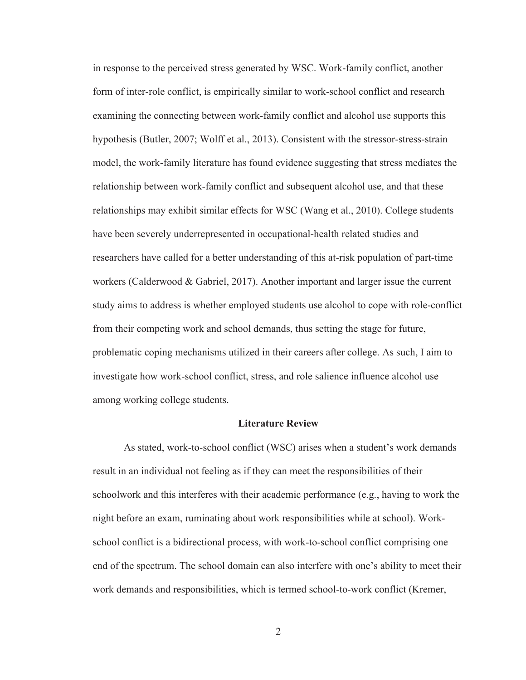in response to the perceived stress generated by WSC. Work-family conflict, another form of inter-role conflict, is empirically similar to work-school conflict and research examining the connecting between work-family conflict and alcohol use supports this hypothesis (Butler, 2007; Wolff et al., 2013). Consistent with the stressor-stress-strain model, the work-family literature has found evidence suggesting that stress mediates the relationship between work-family conflict and subsequent alcohol use, and that these relationships may exhibit similar effects for WSC (Wang et al., 2010). College students have been severely underrepresented in occupational-health related studies and researchers have called for a better understanding of this at-risk population of part-time workers (Calderwood & Gabriel, 2017). Another important and larger issue the current study aims to address is whether employed students use alcohol to cope with role-conflict from their competing work and school demands, thus setting the stage for future, problematic coping mechanisms utilized in their careers after college. As such, I aim to investigate how work-school conflict, stress, and role salience influence alcohol use among working college students.

#### **Literature Review**

As stated, work-to-school conflict (WSC) arises when a student's work demands result in an individual not feeling as if they can meet the responsibilities of their schoolwork and this interferes with their academic performance (e.g., having to work the night before an exam, ruminating about work responsibilities while at school). Workschool conflict is a bidirectional process, with work-to-school conflict comprising one end of the spectrum. The school domain can also interfere with one's ability to meet their work demands and responsibilities, which is termed school-to-work conflict (Kremer,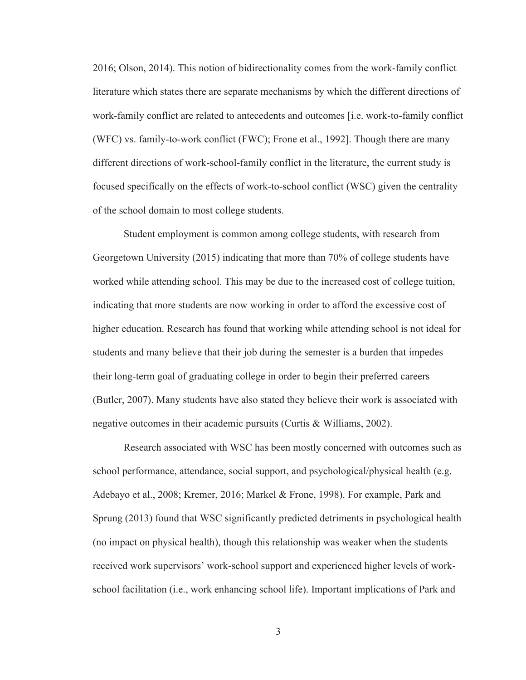2016; Olson, 2014). This notion of bidirectionality comes from the work-family conflict literature which states there are separate mechanisms by which the different directions of work-family conflict are related to antecedents and outcomes [i.e. work-to-family conflict (WFC) vs. family-to-work conflict (FWC); Frone et al., 1992]. Though there are many different directions of work-school-family conflict in the literature, the current study is focused specifically on the effects of work-to-school conflict (WSC) given the centrality of the school domain to most college students.

Student employment is common among college students, with research from Georgetown University (2015) indicating that more than 70% of college students have worked while attending school. This may be due to the increased cost of college tuition, indicating that more students are now working in order to afford the excessive cost of higher education. Research has found that working while attending school is not ideal for students and many believe that their job during the semester is a burden that impedes their long-term goal of graduating college in order to begin their preferred careers (Butler, 2007). Many students have also stated they believe their work is associated with negative outcomes in their academic pursuits (Curtis & Williams, 2002).

Research associated with WSC has been mostly concerned with outcomes such as school performance, attendance, social support, and psychological/physical health (e.g. Adebayo et al., 2008; Kremer, 2016; Markel & Frone, 1998). For example, Park and Sprung (2013) found that WSC significantly predicted detriments in psychological health (no impact on physical health), though this relationship was weaker when the students received work supervisors' work-school support and experienced higher levels of workschool facilitation (i.e., work enhancing school life). Important implications of Park and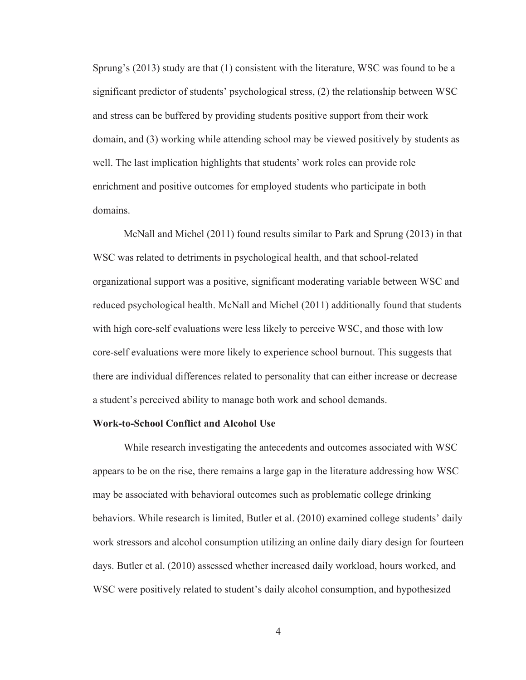Sprung's (2013) study are that (1) consistent with the literature, WSC was found to be a significant predictor of students' psychological stress, (2) the relationship between WSC and stress can be buffered by providing students positive support from their work domain, and (3) working while attending school may be viewed positively by students as well. The last implication highlights that students' work roles can provide role enrichment and positive outcomes for employed students who participate in both domains.

McNall and Michel (2011) found results similar to Park and Sprung (2013) in that WSC was related to detriments in psychological health, and that school-related organizational support was a positive, significant moderating variable between WSC and reduced psychological health. McNall and Michel (2011) additionally found that students with high core-self evaluations were less likely to perceive WSC, and those with low core-self evaluations were more likely to experience school burnout. This suggests that there are individual differences related to personality that can either increase or decrease a student's perceived ability to manage both work and school demands.

#### **Work-to-School Conflict and Alcohol Use**

While research investigating the antecedents and outcomes associated with WSC appears to be on the rise, there remains a large gap in the literature addressing how WSC may be associated with behavioral outcomes such as problematic college drinking behaviors. While research is limited, Butler et al. (2010) examined college students' daily work stressors and alcohol consumption utilizing an online daily diary design for fourteen days. Butler et al. (2010) assessed whether increased daily workload, hours worked, and WSC were positively related to student's daily alcohol consumption, and hypothesized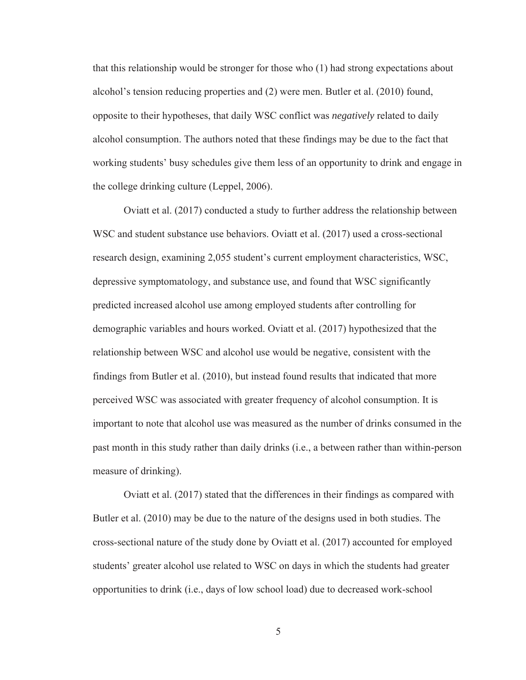that this relationship would be stronger for those who (1) had strong expectations about alcohol's tension reducing properties and (2) were men. Butler et al. (2010) found, opposite to their hypotheses, that daily WSC conflict was *negatively* related to daily alcohol consumption. The authors noted that these findings may be due to the fact that working students' busy schedules give them less of an opportunity to drink and engage in the college drinking culture (Leppel, 2006).

Oviatt et al. (2017) conducted a study to further address the relationship between WSC and student substance use behaviors. Oviatt et al. (2017) used a cross-sectional research design, examining 2,055 student's current employment characteristics, WSC, depressive symptomatology, and substance use, and found that WSC significantly predicted increased alcohol use among employed students after controlling for demographic variables and hours worked. Oviatt et al. (2017) hypothesized that the relationship between WSC and alcohol use would be negative, consistent with the findings from Butler et al. (2010), but instead found results that indicated that more perceived WSC was associated with greater frequency of alcohol consumption. It is important to note that alcohol use was measured as the number of drinks consumed in the past month in this study rather than daily drinks (i.e., a between rather than within-person measure of drinking).

Oviatt et al. (2017) stated that the differences in their findings as compared with Butler et al. (2010) may be due to the nature of the designs used in both studies. The cross-sectional nature of the study done by Oviatt et al. (2017) accounted for employed students' greater alcohol use related to WSC on days in which the students had greater opportunities to drink (i.e., days of low school load) due to decreased work-school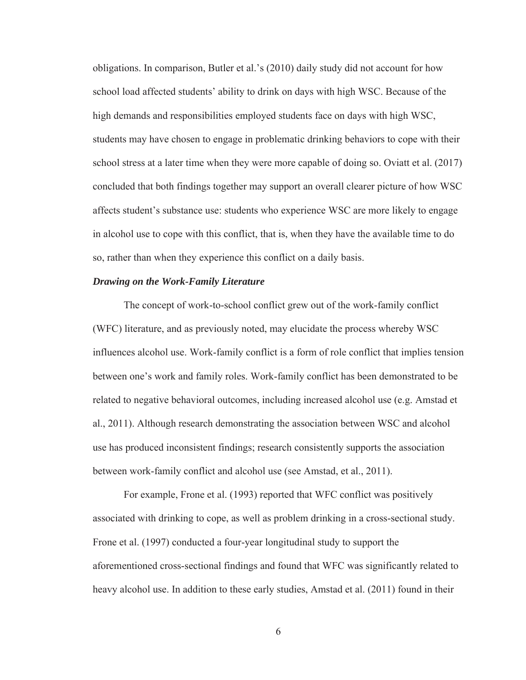obligations. In comparison, Butler et al.'s (2010) daily study did not account for how school load affected students' ability to drink on days with high WSC. Because of the high demands and responsibilities employed students face on days with high WSC, students may have chosen to engage in problematic drinking behaviors to cope with their school stress at a later time when they were more capable of doing so. Oviatt et al. (2017) concluded that both findings together may support an overall clearer picture of how WSC affects student's substance use: students who experience WSC are more likely to engage in alcohol use to cope with this conflict, that is, when they have the available time to do so, rather than when they experience this conflict on a daily basis.

#### *Drawing on the Work-Family Literature*

The concept of work-to-school conflict grew out of the work-family conflict (WFC) literature, and as previously noted, may elucidate the process whereby WSC influences alcohol use. Work-family conflict is a form of role conflict that implies tension between one's work and family roles. Work-family conflict has been demonstrated to be related to negative behavioral outcomes, including increased alcohol use (e.g. Amstad et al., 2011). Although research demonstrating the association between WSC and alcohol use has produced inconsistent findings; research consistently supports the association between work-family conflict and alcohol use (see Amstad, et al., 2011).

For example, Frone et al. (1993) reported that WFC conflict was positively associated with drinking to cope, as well as problem drinking in a cross-sectional study. Frone et al. (1997) conducted a four-year longitudinal study to support the aforementioned cross-sectional findings and found that WFC was significantly related to heavy alcohol use. In addition to these early studies, Amstad et al. (2011) found in their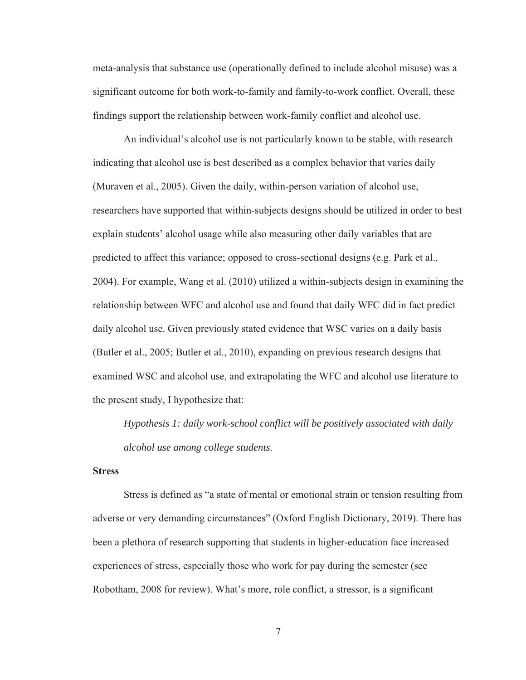meta-analysis that substance use (operationally defined to include alcohol misuse) was a significant outcome for both work-to-family and family-to-work conflict. Overall, these findings support the relationship between work-family conflict and alcohol use.

An individual's alcohol use is not particularly known to be stable, with research indicating that alcohol use is best described as a complex behavior that varies daily (Muraven et al., 2005). Given the daily, within-person variation of alcohol use, researchers have supported that within-subjects designs should be utilized in order to best explain students' alcohol usage while also measuring other daily variables that are predicted to affect this variance; opposed to cross-sectional designs (e.g. Park et al., 2004). For example, Wang et al. (2010) utilized a within-subjects design in examining the relationship between WFC and alcohol use and found that daily WFC did in fact predict daily alcohol use. Given previously stated evidence that WSC varies on a daily basis (Butler et al., 2005; Butler et al., 2010), expanding on previous research designs that examined WSC and alcohol use, and extrapolating the WFC and alcohol use literature to the present study, I hypothesize that:

*Hypothesis 1: daily work-school conflict will be positively associated with daily alcohol use among college students.* 

#### **Stress**

Stress is defined as "a state of mental or emotional strain or tension resulting from adverse or very demanding circumstances" (Oxford English Dictionary, 2019). There has been a plethora of research supporting that students in higher-education face increased experiences of stress, especially those who work for pay during the semester (see Robotham, 2008 for review). What's more, role conflict, a stressor, is a significant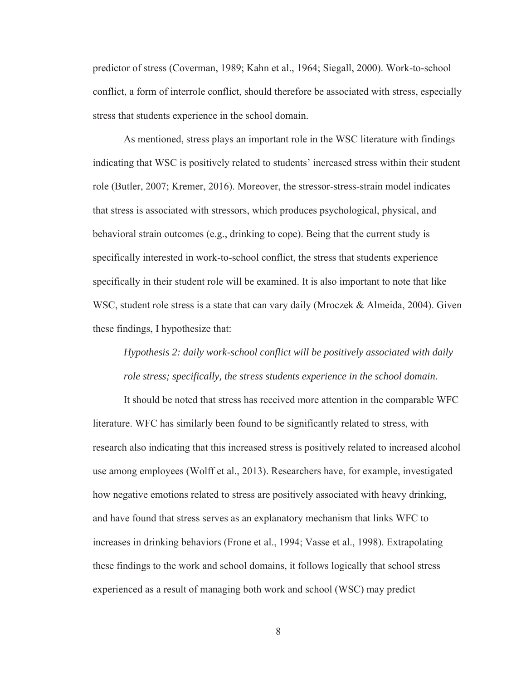predictor of stress (Coverman, 1989; Kahn et al., 1964; Siegall, 2000). Work-to-school conflict, a form of interrole conflict, should therefore be associated with stress, especially stress that students experience in the school domain.

As mentioned, stress plays an important role in the WSC literature with findings indicating that WSC is positively related to students' increased stress within their student role (Butler, 2007; Kremer, 2016). Moreover, the stressor-stress-strain model indicates that stress is associated with stressors, which produces psychological, physical, and behavioral strain outcomes (e.g., drinking to cope). Being that the current study is specifically interested in work-to-school conflict, the stress that students experience specifically in their student role will be examined. It is also important to note that like WSC, student role stress is a state that can vary daily (Mroczek & Almeida, 2004). Given these findings, I hypothesize that:

# *Hypothesis 2: daily work-school conflict will be positively associated with daily role stress; specifically, the stress students experience in the school domain.*

It should be noted that stress has received more attention in the comparable WFC literature. WFC has similarly been found to be significantly related to stress, with research also indicating that this increased stress is positively related to increased alcohol use among employees (Wolff et al., 2013). Researchers have, for example, investigated how negative emotions related to stress are positively associated with heavy drinking, and have found that stress serves as an explanatory mechanism that links WFC to increases in drinking behaviors (Frone et al., 1994; Vasse et al., 1998). Extrapolating these findings to the work and school domains, it follows logically that school stress experienced as a result of managing both work and school (WSC) may predict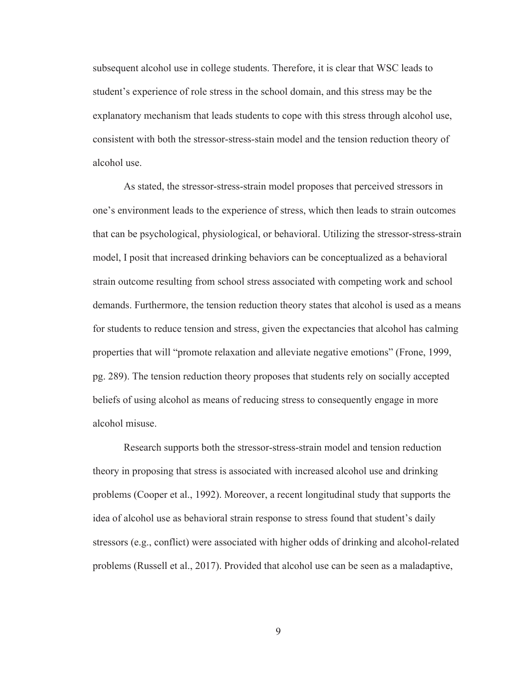subsequent alcohol use in college students. Therefore, it is clear that WSC leads to student's experience of role stress in the school domain, and this stress may be the explanatory mechanism that leads students to cope with this stress through alcohol use, consistent with both the stressor-stress-stain model and the tension reduction theory of alcohol use.

 As stated, the stressor-stress-strain model proposes that perceived stressors in one's environment leads to the experience of stress, which then leads to strain outcomes that can be psychological, physiological, or behavioral. Utilizing the stressor-stress-strain model, I posit that increased drinking behaviors can be conceptualized as a behavioral strain outcome resulting from school stress associated with competing work and school demands. Furthermore, the tension reduction theory states that alcohol is used as a means for students to reduce tension and stress, given the expectancies that alcohol has calming properties that will "promote relaxation and alleviate negative emotions" (Frone, 1999, pg. 289). The tension reduction theory proposes that students rely on socially accepted beliefs of using alcohol as means of reducing stress to consequently engage in more alcohol misuse.

 Research supports both the stressor-stress-strain model and tension reduction theory in proposing that stress is associated with increased alcohol use and drinking problems (Cooper et al., 1992). Moreover, a recent longitudinal study that supports the idea of alcohol use as behavioral strain response to stress found that student's daily stressors (e.g., conflict) were associated with higher odds of drinking and alcohol-related problems (Russell et al., 2017). Provided that alcohol use can be seen as a maladaptive,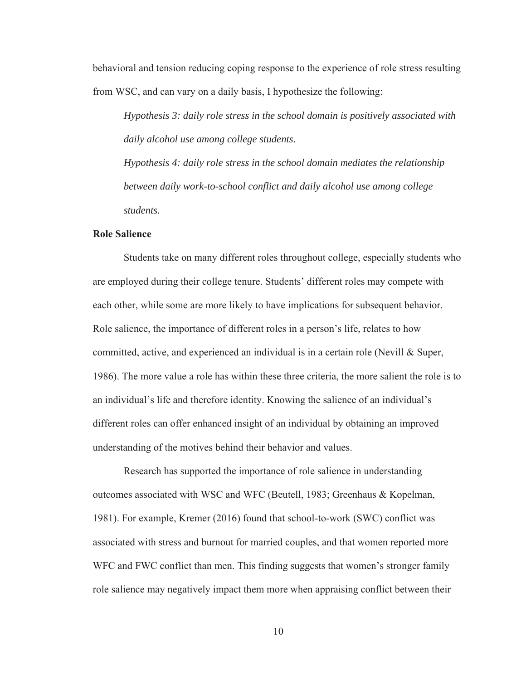behavioral and tension reducing coping response to the experience of role stress resulting from WSC, and can vary on a daily basis, I hypothesize the following:

*Hypothesis 3: daily role stress in the school domain is positively associated with daily alcohol use among college students.* 

*Hypothesis 4: daily role stress in the school domain mediates the relationship between daily work-to-school conflict and daily alcohol use among college students.* 

#### **Role Salience**

Students take on many different roles throughout college, especially students who are employed during their college tenure. Students' different roles may compete with each other, while some are more likely to have implications for subsequent behavior. Role salience, the importance of different roles in a person's life, relates to how committed, active, and experienced an individual is in a certain role (Nevill & Super, 1986). The more value a role has within these three criteria, the more salient the role is to an individual's life and therefore identity. Knowing the salience of an individual's different roles can offer enhanced insight of an individual by obtaining an improved understanding of the motives behind their behavior and values.

 Research has supported the importance of role salience in understanding outcomes associated with WSC and WFC (Beutell, 1983; Greenhaus & Kopelman, 1981). For example, Kremer (2016) found that school-to-work (SWC) conflict was associated with stress and burnout for married couples, and that women reported more WFC and FWC conflict than men. This finding suggests that women's stronger family role salience may negatively impact them more when appraising conflict between their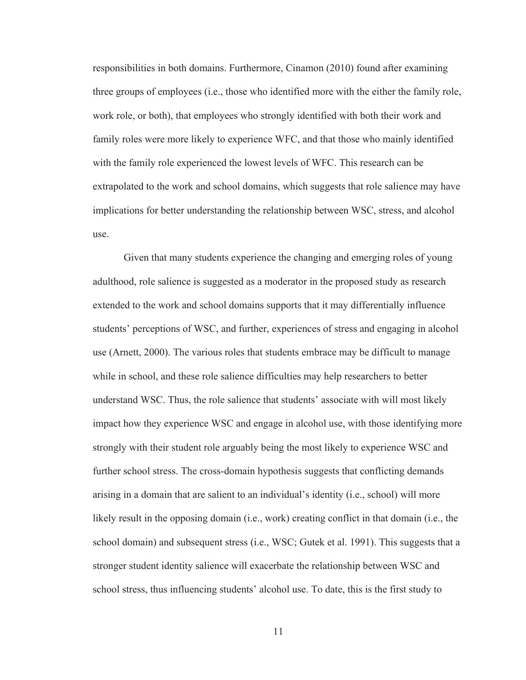responsibilities in both domains. Furthermore, Cinamon (2010) found after examining three groups of employees (i.e., those who identified more with the either the family role, work role, or both), that employees who strongly identified with both their work and family roles were more likely to experience WFC, and that those who mainly identified with the family role experienced the lowest levels of WFC. This research can be extrapolated to the work and school domains, which suggests that role salience may have implications for better understanding the relationship between WSC, stress, and alcohol use.

Given that many students experience the changing and emerging roles of young adulthood, role salience is suggested as a moderator in the proposed study as research extended to the work and school domains supports that it may differentially influence students' perceptions of WSC, and further, experiences of stress and engaging in alcohol use (Arnett, 2000). The various roles that students embrace may be difficult to manage while in school, and these role salience difficulties may help researchers to better understand WSC. Thus, the role salience that students' associate with will most likely impact how they experience WSC and engage in alcohol use, with those identifying more strongly with their student role arguably being the most likely to experience WSC and further school stress. The cross-domain hypothesis suggests that conflicting demands arising in a domain that are salient to an individual's identity (i.e., school) will more likely result in the opposing domain (i.e., work) creating conflict in that domain (i.e., the school domain) and subsequent stress (i.e., WSC; Gutek et al. 1991). This suggests that a stronger student identity salience will exacerbate the relationship between WSC and school stress, thus influencing students' alcohol use. To date, this is the first study to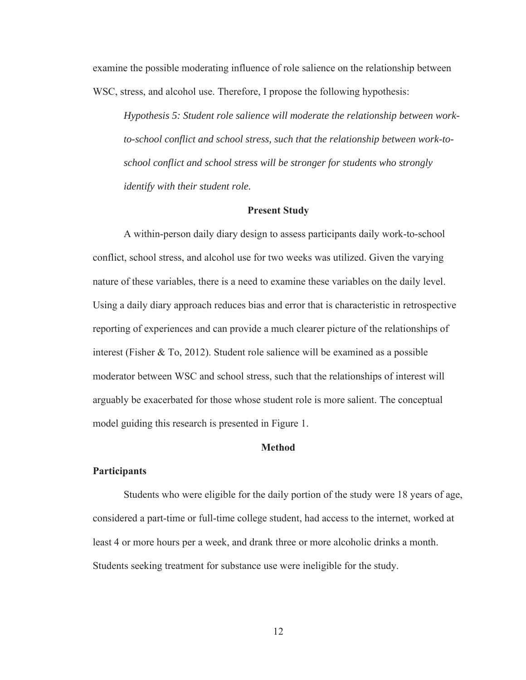examine the possible moderating influence of role salience on the relationship between WSC, stress, and alcohol use. Therefore, I propose the following hypothesis:

*Hypothesis 5: Student role salience will moderate the relationship between workto-school conflict and school stress, such that the relationship between work-toschool conflict and school stress will be stronger for students who strongly identify with their student role.*

#### **Present Study**

A within-person daily diary design to assess participants daily work-to-school conflict, school stress, and alcohol use for two weeks was utilized. Given the varying nature of these variables, there is a need to examine these variables on the daily level. Using a daily diary approach reduces bias and error that is characteristic in retrospective reporting of experiences and can provide a much clearer picture of the relationships of interest (Fisher & To, 2012). Student role salience will be examined as a possible moderator between WSC and school stress, such that the relationships of interest will arguably be exacerbated for those whose student role is more salient. The conceptual model guiding this research is presented in Figure 1.

#### **Method**

#### **Participants**

Students who were eligible for the daily portion of the study were 18 years of age, considered a part-time or full-time college student, had access to the internet, worked at least 4 or more hours per a week, and drank three or more alcoholic drinks a month. Students seeking treatment for substance use were ineligible for the study.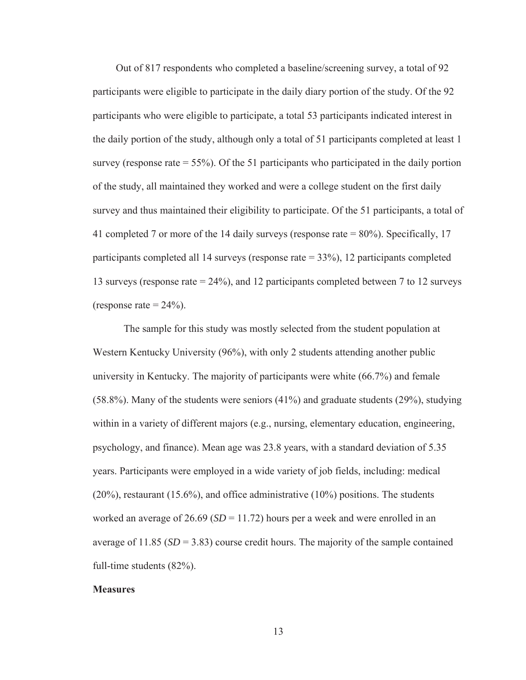Out of 817 respondents who completed a baseline/screening survey, a total of 92 participants were eligible to participate in the daily diary portion of the study. Of the 92 participants who were eligible to participate, a total 53 participants indicated interest in the daily portion of the study, although only a total of 51 participants completed at least 1 survey (response rate  $= 55\%$ ). Of the 51 participants who participated in the daily portion of the study, all maintained they worked and were a college student on the first daily survey and thus maintained their eligibility to participate. Of the 51 participants, a total of 41 completed 7 or more of the 14 daily surveys (response rate = 80%). Specifically, 17 participants completed all 14 surveys (response rate = 33%), 12 participants completed 13 surveys (response rate = 24%), and 12 participants completed between 7 to 12 surveys (response rate  $= 24\%$ ).

The sample for this study was mostly selected from the student population at Western Kentucky University (96%), with only 2 students attending another public university in Kentucky. The majority of participants were white (66.7%) and female (58.8%). Many of the students were seniors (41%) and graduate students (29%), studying within in a variety of different majors (e.g., nursing, elementary education, engineering, psychology, and finance). Mean age was 23.8 years, with a standard deviation of 5.35 years. Participants were employed in a wide variety of job fields, including: medical (20%), restaurant (15.6%), and office administrative (10%) positions. The students worked an average of  $26.69$  ( $SD = 11.72$ ) hours per a week and were enrolled in an average of  $11.85$  ( $SD = 3.83$ ) course credit hours. The majority of the sample contained full-time students (82%).

#### **Measures**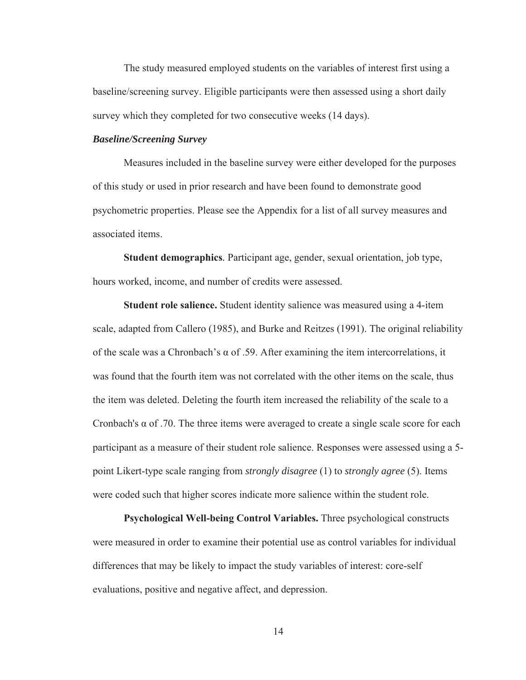The study measured employed students on the variables of interest first using a baseline/screening survey. Eligible participants were then assessed using a short daily survey which they completed for two consecutive weeks (14 days).

#### *Baseline/Screening Survey*

Measures included in the baseline survey were either developed for the purposes of this study or used in prior research and have been found to demonstrate good psychometric properties. Please see the Appendix for a list of all survey measures and associated items.

**Student demographics***.* Participant age, gender, sexual orientation, job type, hours worked, income, and number of credits were assessed.

**Student role salience.** Student identity salience was measured using a 4-item scale, adapted from Callero (1985), and Burke and Reitzes (1991). The original reliability of the scale was a Chronbach's  $\alpha$  of .59. After examining the item intercorrelations, it was found that the fourth item was not correlated with the other items on the scale, thus the item was deleted. Deleting the fourth item increased the reliability of the scale to a Cronbach's  $\alpha$  of .70. The three items were averaged to create a single scale score for each participant as a measure of their student role salience. Responses were assessed using a 5 point Likert-type scale ranging from *strongly disagree* (1) to *strongly agree* (5). Items were coded such that higher scores indicate more salience within the student role.

**Psychological Well-being Control Variables.** Three psychological constructs were measured in order to examine their potential use as control variables for individual differences that may be likely to impact the study variables of interest: core-self evaluations, positive and negative affect, and depression.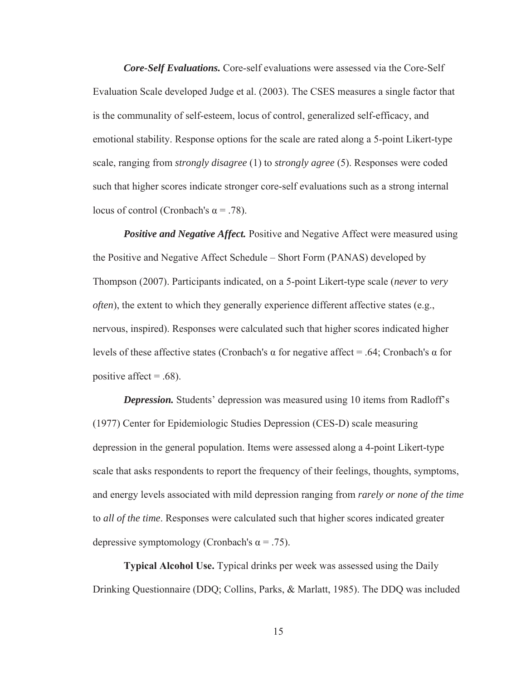*Core-Self Evaluations.* Core-self evaluations were assessed via the Core-Self Evaluation Scale developed Judge et al. (2003). The CSES measures a single factor that is the communality of self-esteem, locus of control, generalized self-efficacy, and emotional stability. Response options for the scale are rated along a 5-point Likert-type scale, ranging from *strongly disagree* (1) to *strongly agree* (5). Responses were coded such that higher scores indicate stronger core-self evaluations such as a strong internal locus of control (Cronbach's α = .78).

*Positive and Negative Affect.* Positive and Negative Affect were measured using the Positive and Negative Affect Schedule – Short Form (PANAS) developed by Thompson (2007). Participants indicated, on a 5-point Likert-type scale (*never* to *very often*), the extent to which they generally experience different affective states (e.g., nervous, inspired). Responses were calculated such that higher scores indicated higher levels of these affective states (Cronbach's α for negative affect = .64; Cronbach's α for positive affect  $= .68$ ).

*Depression.* Students' depression was measured using 10 items from Radloff's (1977) Center for Epidemiologic Studies Depression (CES-D) scale measuring depression in the general population. Items were assessed along a 4-point Likert-type scale that asks respondents to report the frequency of their feelings, thoughts, symptoms, and energy levels associated with mild depression ranging from *rarely or none of the time* to *all of the time*. Responses were calculated such that higher scores indicated greater depressive symptomology (Cronbach's  $\alpha$  = .75).

**Typical Alcohol Use.** Typical drinks per week was assessed using the Daily Drinking Questionnaire (DDQ; Collins, Parks, & Marlatt, 1985). The DDQ was included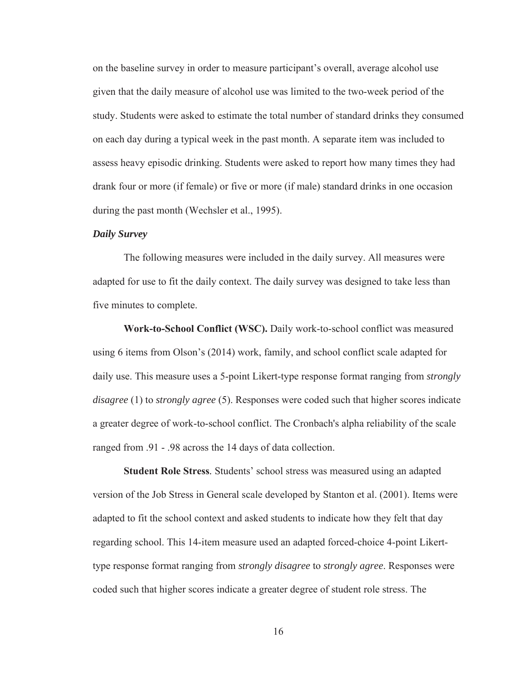on the baseline survey in order to measure participant's overall, average alcohol use given that the daily measure of alcohol use was limited to the two-week period of the study. Students were asked to estimate the total number of standard drinks they consumed on each day during a typical week in the past month. A separate item was included to assess heavy episodic drinking. Students were asked to report how many times they had drank four or more (if female) or five or more (if male) standard drinks in one occasion during the past month (Wechsler et al., 1995).

### *Daily Survey*

The following measures were included in the daily survey. All measures were adapted for use to fit the daily context. The daily survey was designed to take less than five minutes to complete.

**Work-to-School Conflict (WSC).** Daily work-to-school conflict was measured using 6 items from Olson's (2014) work, family, and school conflict scale adapted for daily use. This measure uses a 5-point Likert-type response format ranging from *strongly disagree* (1) to *strongly agree* (5). Responses were coded such that higher scores indicate a greater degree of work-to-school conflict. The Cronbach's alpha reliability of the scale ranged from .91 - .98 across the 14 days of data collection.

**Student Role Stress***.* Students' school stress was measured using an adapted version of the Job Stress in General scale developed by Stanton et al. (2001). Items were adapted to fit the school context and asked students to indicate how they felt that day regarding school. This 14-item measure used an adapted forced-choice 4-point Likerttype response format ranging from *strongly disagree* to *strongly agree*. Responses were coded such that higher scores indicate a greater degree of student role stress. The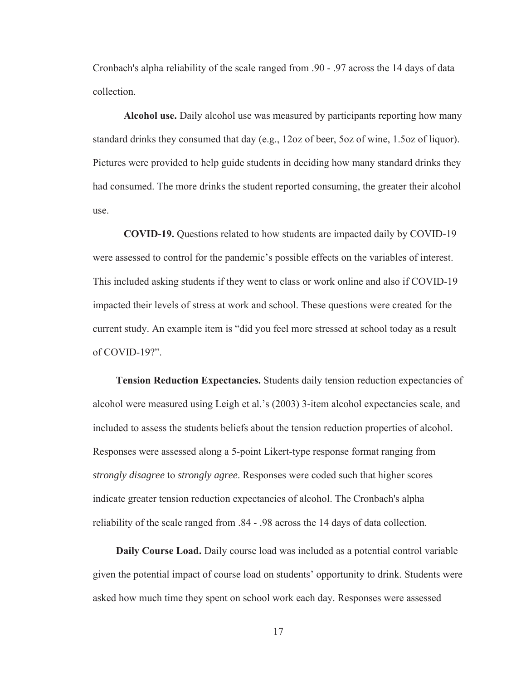Cronbach's alpha reliability of the scale ranged from .90 - .97 across the 14 days of data collection.

**Alcohol use.** Daily alcohol use was measured by participants reporting how many standard drinks they consumed that day (e.g., 12oz of beer, 5oz of wine, 1.5oz of liquor). Pictures were provided to help guide students in deciding how many standard drinks they had consumed. The more drinks the student reported consuming, the greater their alcohol use.

**COVID-19.** Questions related to how students are impacted daily by COVID-19 were assessed to control for the pandemic's possible effects on the variables of interest. This included asking students if they went to class or work online and also if COVID-19 impacted their levels of stress at work and school. These questions were created for the current study. An example item is "did you feel more stressed at school today as a result of COVID-19?".

**Tension Reduction Expectancies.** Students daily tension reduction expectancies of alcohol were measured using Leigh et al.'s (2003) 3-item alcohol expectancies scale, and included to assess the students beliefs about the tension reduction properties of alcohol. Responses were assessed along a 5-point Likert-type response format ranging from *strongly disagree* to *strongly agree*. Responses were coded such that higher scores indicate greater tension reduction expectancies of alcohol. The Cronbach's alpha reliability of the scale ranged from .84 - .98 across the 14 days of data collection.

**Daily Course Load.** Daily course load was included as a potential control variable given the potential impact of course load on students' opportunity to drink. Students were asked how much time they spent on school work each day. Responses were assessed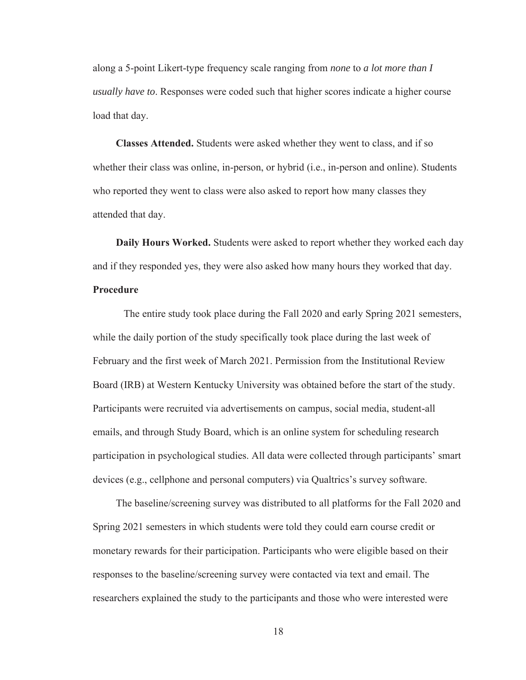along a 5-point Likert-type frequency scale ranging from *none* to *a lot more than I usually have to*. Responses were coded such that higher scores indicate a higher course load that day.

**Classes Attended.** Students were asked whether they went to class, and if so whether their class was online, in-person, or hybrid (i.e., in-person and online). Students who reported they went to class were also asked to report how many classes they attended that day.

**Daily Hours Worked.** Students were asked to report whether they worked each day and if they responded yes, they were also asked how many hours they worked that day.

### **Procedure**

 The entire study took place during the Fall 2020 and early Spring 2021 semesters, while the daily portion of the study specifically took place during the last week of February and the first week of March 2021. Permission from the Institutional Review Board (IRB) at Western Kentucky University was obtained before the start of the study. Participants were recruited via advertisements on campus, social media, student-all emails, and through Study Board, which is an online system for scheduling research participation in psychological studies. All data were collected through participants' smart devices (e.g., cellphone and personal computers) via Qualtrics's survey software.

The baseline/screening survey was distributed to all platforms for the Fall 2020 and Spring 2021 semesters in which students were told they could earn course credit or monetary rewards for their participation. Participants who were eligible based on their responses to the baseline/screening survey were contacted via text and email. The researchers explained the study to the participants and those who were interested were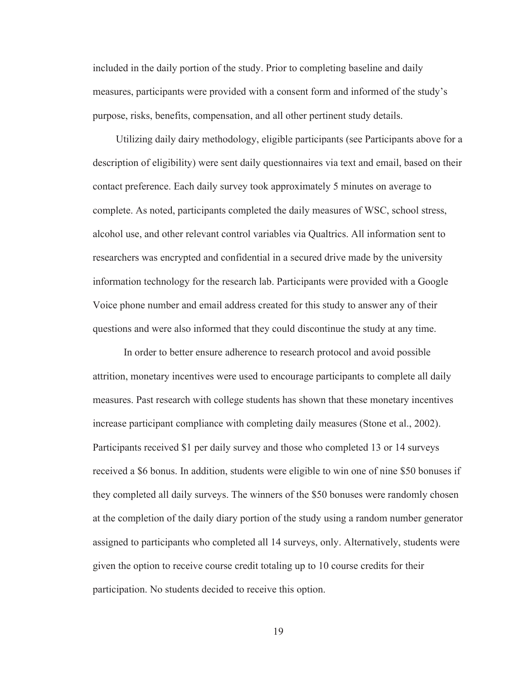included in the daily portion of the study. Prior to completing baseline and daily measures, participants were provided with a consent form and informed of the study's purpose, risks, benefits, compensation, and all other pertinent study details.

Utilizing daily dairy methodology, eligible participants (see Participants above for a description of eligibility) were sent daily questionnaires via text and email, based on their contact preference. Each daily survey took approximately 5 minutes on average to complete. As noted, participants completed the daily measures of WSC, school stress, alcohol use, and other relevant control variables via Qualtrics. All information sent to researchers was encrypted and confidential in a secured drive made by the university information technology for the research lab. Participants were provided with a Google Voice phone number and email address created for this study to answer any of their questions and were also informed that they could discontinue the study at any time.

In order to better ensure adherence to research protocol and avoid possible attrition, monetary incentives were used to encourage participants to complete all daily measures. Past research with college students has shown that these monetary incentives increase participant compliance with completing daily measures (Stone et al., 2002). Participants received \$1 per daily survey and those who completed 13 or 14 surveys received a \$6 bonus. In addition, students were eligible to win one of nine \$50 bonuses if they completed all daily surveys. The winners of the \$50 bonuses were randomly chosen at the completion of the daily diary portion of the study using a random number generator assigned to participants who completed all 14 surveys, only. Alternatively, students were given the option to receive course credit totaling up to 10 course credits for their participation. No students decided to receive this option.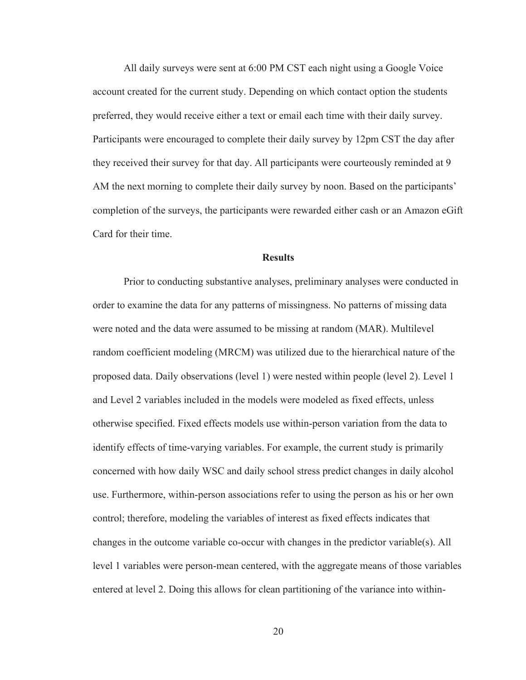All daily surveys were sent at 6:00 PM CST each night using a Google Voice account created for the current study. Depending on which contact option the students preferred, they would receive either a text or email each time with their daily survey. Participants were encouraged to complete their daily survey by 12pm CST the day after they received their survey for that day. All participants were courteously reminded at 9 AM the next morning to complete their daily survey by noon. Based on the participants' completion of the surveys, the participants were rewarded either cash or an Amazon eGift Card for their time.

#### **Results**

 Prior to conducting substantive analyses, preliminary analyses were conducted in order to examine the data for any patterns of missingness. No patterns of missing data were noted and the data were assumed to be missing at random (MAR). Multilevel random coefficient modeling (MRCM) was utilized due to the hierarchical nature of the proposed data. Daily observations (level 1) were nested within people (level 2). Level 1 and Level 2 variables included in the models were modeled as fixed effects, unless otherwise specified. Fixed effects models use within-person variation from the data to identify effects of time-varying variables. For example, the current study is primarily concerned with how daily WSC and daily school stress predict changes in daily alcohol use. Furthermore, within-person associations refer to using the person as his or her own control; therefore, modeling the variables of interest as fixed effects indicates that changes in the outcome variable co-occur with changes in the predictor variable(s). All level 1 variables were person-mean centered, with the aggregate means of those variables entered at level 2. Doing this allows for clean partitioning of the variance into within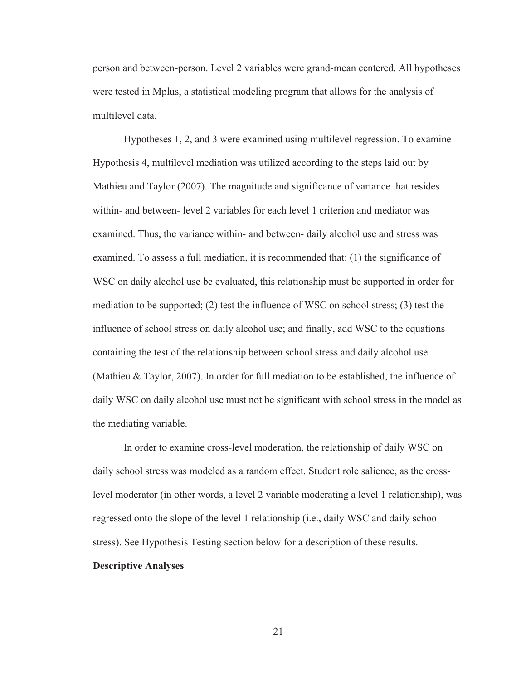person and between-person. Level 2 variables were grand-mean centered. All hypotheses were tested in Mplus, a statistical modeling program that allows for the analysis of multilevel data.

 Hypotheses 1, 2, and 3 were examined using multilevel regression. To examine Hypothesis 4, multilevel mediation was utilized according to the steps laid out by Mathieu and Taylor (2007). The magnitude and significance of variance that resides within- and between- level 2 variables for each level 1 criterion and mediator was examined. Thus, the variance within- and between- daily alcohol use and stress was examined. To assess a full mediation, it is recommended that: (1) the significance of WSC on daily alcohol use be evaluated, this relationship must be supported in order for mediation to be supported; (2) test the influence of WSC on school stress; (3) test the influence of school stress on daily alcohol use; and finally, add WSC to the equations containing the test of the relationship between school stress and daily alcohol use (Mathieu & Taylor, 2007). In order for full mediation to be established, the influence of daily WSC on daily alcohol use must not be significant with school stress in the model as the mediating variable.

In order to examine cross-level moderation, the relationship of daily WSC on daily school stress was modeled as a random effect. Student role salience, as the crosslevel moderator (in other words, a level 2 variable moderating a level 1 relationship), was regressed onto the slope of the level 1 relationship (i.e., daily WSC and daily school stress). See Hypothesis Testing section below for a description of these results. **Descriptive Analyses**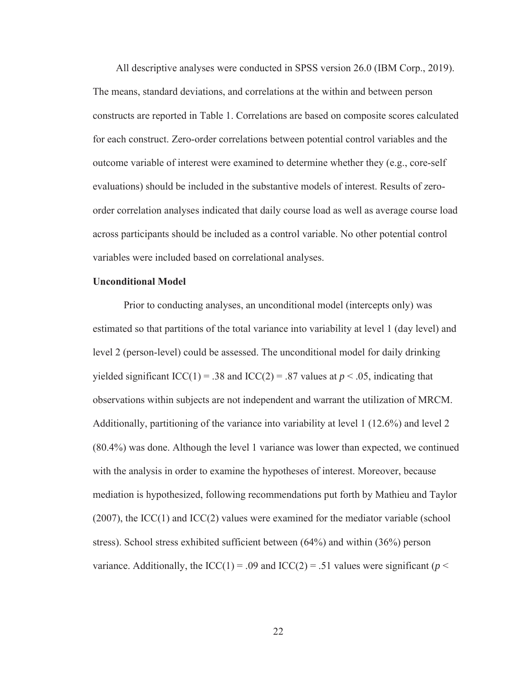All descriptive analyses were conducted in SPSS version 26.0 (IBM Corp., 2019). The means, standard deviations, and correlations at the within and between person constructs are reported in Table 1. Correlations are based on composite scores calculated for each construct. Zero-order correlations between potential control variables and the outcome variable of interest were examined to determine whether they (e.g., core-self evaluations) should be included in the substantive models of interest. Results of zeroorder correlation analyses indicated that daily course load as well as average course load across participants should be included as a control variable. No other potential control variables were included based on correlational analyses.

#### **Unconditional Model**

Prior to conducting analyses, an unconditional model (intercepts only) was estimated so that partitions of the total variance into variability at level 1 (day level) and level 2 (person-level) could be assessed. The unconditional model for daily drinking yielded significant  $ICC(1) = .38$  and  $ICC(2) = .87$  values at  $p < .05$ , indicating that observations within subjects are not independent and warrant the utilization of MRCM. Additionally, partitioning of the variance into variability at level 1 (12.6%) and level 2 (80.4%) was done. Although the level 1 variance was lower than expected, we continued with the analysis in order to examine the hypotheses of interest. Moreover, because mediation is hypothesized, following recommendations put forth by Mathieu and Taylor (2007), the ICC(1) and ICC(2) values were examined for the mediator variable (school stress). School stress exhibited sufficient between (64%) and within (36%) person variance. Additionally, the  $ICC(1) = .09$  and  $ICC(2) = .51$  values were significant ( $p <$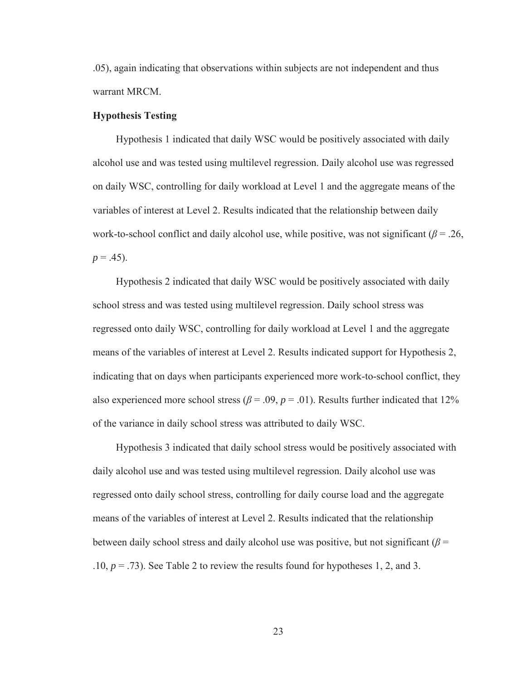.05), again indicating that observations within subjects are not independent and thus warrant MRCM.

#### **Hypothesis Testing**

Hypothesis 1 indicated that daily WSC would be positively associated with daily alcohol use and was tested using multilevel regression. Daily alcohol use was regressed on daily WSC, controlling for daily workload at Level 1 and the aggregate means of the variables of interest at Level 2. Results indicated that the relationship between daily work-to-school conflict and daily alcohol use, while positive, was not significant (*β* = .26,  $p = .45$ ).

Hypothesis 2 indicated that daily WSC would be positively associated with daily school stress and was tested using multilevel regression. Daily school stress was regressed onto daily WSC, controlling for daily workload at Level 1 and the aggregate means of the variables of interest at Level 2. Results indicated support for Hypothesis 2, indicating that on days when participants experienced more work-to-school conflict, they also experienced more school stress ( $\beta$  = .09,  $p$  = .01). Results further indicated that 12% of the variance in daily school stress was attributed to daily WSC.

Hypothesis 3 indicated that daily school stress would be positively associated with daily alcohol use and was tested using multilevel regression. Daily alcohol use was regressed onto daily school stress, controlling for daily course load and the aggregate means of the variables of interest at Level 2. Results indicated that the relationship between daily school stress and daily alcohol use was positive, but not significant ( $\beta$  = .10,  $p = .73$ ). See Table 2 to review the results found for hypotheses 1, 2, and 3.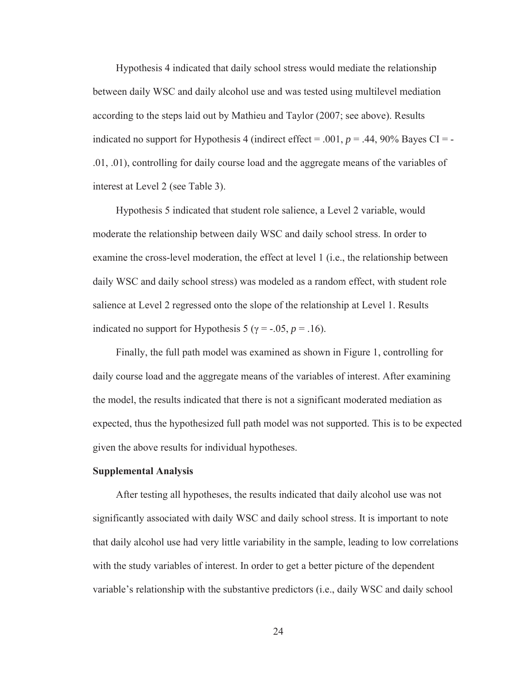Hypothesis 4 indicated that daily school stress would mediate the relationship between daily WSC and daily alcohol use and was tested using multilevel mediation according to the steps laid out by Mathieu and Taylor (2007; see above). Results indicated no support for Hypothesis 4 (indirect effect = .001,  $p = .44$ , 90% Bayes CI = -.01, .01), controlling for daily course load and the aggregate means of the variables of interest at Level 2 (see Table 3).

Hypothesis 5 indicated that student role salience, a Level 2 variable, would moderate the relationship between daily WSC and daily school stress. In order to examine the cross-level moderation, the effect at level 1 (i.e., the relationship between daily WSC and daily school stress) was modeled as a random effect, with student role salience at Level 2 regressed onto the slope of the relationship at Level 1. Results indicated no support for Hypothesis 5 ( $\gamma$  = -.05, *p* = .16).

Finally, the full path model was examined as shown in Figure 1, controlling for daily course load and the aggregate means of the variables of interest. After examining the model, the results indicated that there is not a significant moderated mediation as expected, thus the hypothesized full path model was not supported. This is to be expected given the above results for individual hypotheses.

#### **Supplemental Analysis**

After testing all hypotheses, the results indicated that daily alcohol use was not significantly associated with daily WSC and daily school stress. It is important to note that daily alcohol use had very little variability in the sample, leading to low correlations with the study variables of interest. In order to get a better picture of the dependent variable's relationship with the substantive predictors (i.e., daily WSC and daily school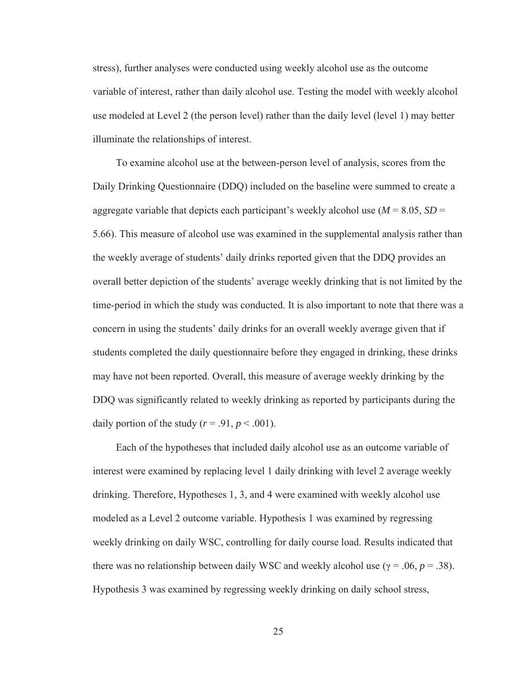stress), further analyses were conducted using weekly alcohol use as the outcome variable of interest, rather than daily alcohol use. Testing the model with weekly alcohol use modeled at Level 2 (the person level) rather than the daily level (level 1) may better illuminate the relationships of interest.

To examine alcohol use at the between-person level of analysis, scores from the Daily Drinking Questionnaire (DDQ) included on the baseline were summed to create a aggregate variable that depicts each participant's weekly alcohol use  $(M = 8.05, SD =$ 5.66). This measure of alcohol use was examined in the supplemental analysis rather than the weekly average of students' daily drinks reported given that the DDQ provides an overall better depiction of the students' average weekly drinking that is not limited by the time-period in which the study was conducted. It is also important to note that there was a concern in using the students' daily drinks for an overall weekly average given that if students completed the daily questionnaire before they engaged in drinking, these drinks may have not been reported. Overall, this measure of average weekly drinking by the DDQ was significantly related to weekly drinking as reported by participants during the daily portion of the study  $(r = .91, p < .001)$ .

Each of the hypotheses that included daily alcohol use as an outcome variable of interest were examined by replacing level 1 daily drinking with level 2 average weekly drinking. Therefore, Hypotheses 1, 3, and 4 were examined with weekly alcohol use modeled as a Level 2 outcome variable. Hypothesis 1 was examined by regressing weekly drinking on daily WSC, controlling for daily course load. Results indicated that there was no relationship between daily WSC and weekly alcohol use ( $\gamma = .06$ ,  $p = .38$ ). Hypothesis 3 was examined by regressing weekly drinking on daily school stress,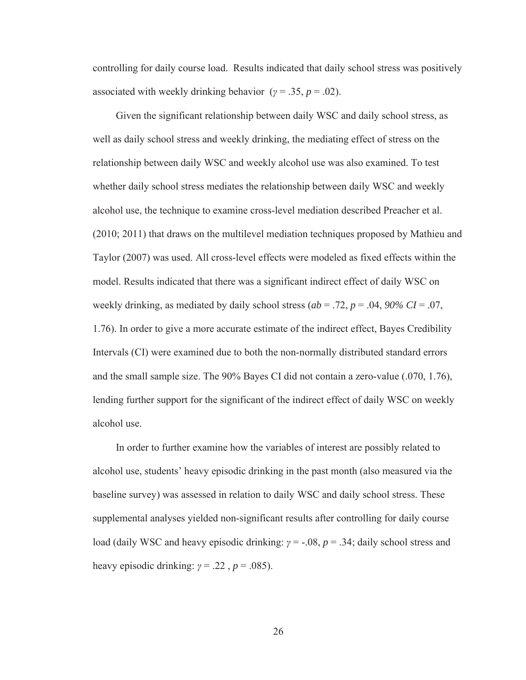controlling for daily course load. Results indicated that daily school stress was positively associated with weekly drinking behavior ( $\gamma = .35$ ,  $p = .02$ ).

Given the significant relationship between daily WSC and daily school stress, as well as daily school stress and weekly drinking, the mediating effect of stress on the relationship between daily WSC and weekly alcohol use was also examined. To test whether daily school stress mediates the relationship between daily WSC and weekly alcohol use, the technique to examine cross-level mediation described Preacher et al. (2010; 2011) that draws on the multilevel mediation techniques proposed by Mathieu and Taylor (2007) was used. All cross-level effects were modeled as fixed effects within the model. Results indicated that there was a significant indirect effect of daily WSC on weekly drinking, as mediated by daily school stress (*ab* = .72, *p* = .04, *90% CI* = .07, 1.76). In order to give a more accurate estimate of the indirect effect, Bayes Credibility Intervals (CI) were examined due to both the non-normally distributed standard errors and the small sample size. The 90% Bayes CI did not contain a zero-value (.070, 1.76), lending further support for the significant of the indirect effect of daily WSC on weekly alcohol use.

In order to further examine how the variables of interest are possibly related to alcohol use, students' heavy episodic drinking in the past month (also measured via the baseline survey) was assessed in relation to daily WSC and daily school stress. These supplemental analyses yielded non-significant results after controlling for daily course load (daily WSC and heavy episodic drinking: *γ* = -.08, *p* = .34; daily school stress and heavy episodic drinking:  $\gamma = .22$ ,  $p = .085$ ).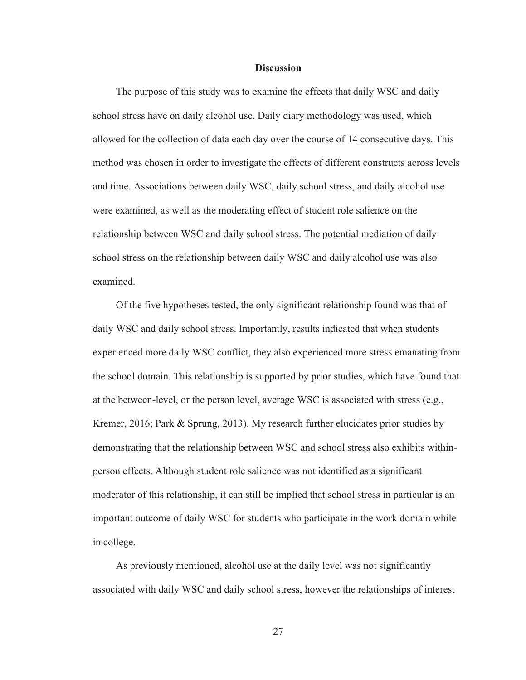#### **Discussion**

The purpose of this study was to examine the effects that daily WSC and daily school stress have on daily alcohol use. Daily diary methodology was used, which allowed for the collection of data each day over the course of 14 consecutive days. This method was chosen in order to investigate the effects of different constructs across levels and time. Associations between daily WSC, daily school stress, and daily alcohol use were examined, as well as the moderating effect of student role salience on the relationship between WSC and daily school stress. The potential mediation of daily school stress on the relationship between daily WSC and daily alcohol use was also examined.

Of the five hypotheses tested, the only significant relationship found was that of daily WSC and daily school stress. Importantly, results indicated that when students experienced more daily WSC conflict, they also experienced more stress emanating from the school domain. This relationship is supported by prior studies, which have found that at the between-level, or the person level, average WSC is associated with stress (e.g., Kremer, 2016; Park & Sprung, 2013). My research further elucidates prior studies by demonstrating that the relationship between WSC and school stress also exhibits withinperson effects. Although student role salience was not identified as a significant moderator of this relationship, it can still be implied that school stress in particular is an important outcome of daily WSC for students who participate in the work domain while in college.

As previously mentioned, alcohol use at the daily level was not significantly associated with daily WSC and daily school stress, however the relationships of interest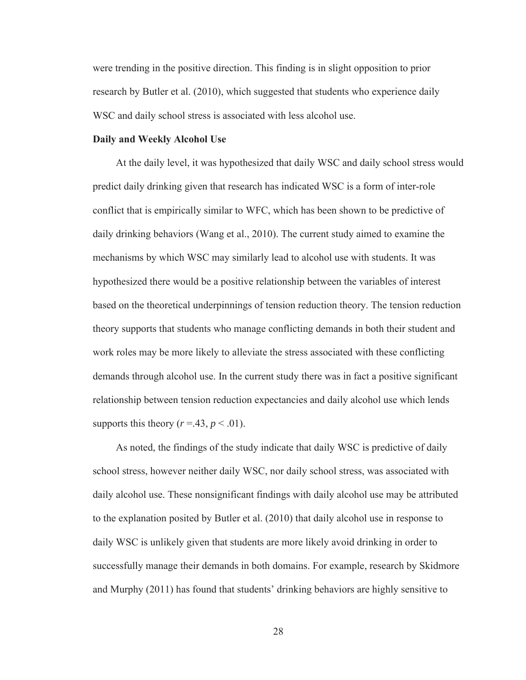were trending in the positive direction. This finding is in slight opposition to prior research by Butler et al. (2010), which suggested that students who experience daily WSC and daily school stress is associated with less alcohol use.

#### **Daily and Weekly Alcohol Use**

At the daily level, it was hypothesized that daily WSC and daily school stress would predict daily drinking given that research has indicated WSC is a form of inter-role conflict that is empirically similar to WFC, which has been shown to be predictive of daily drinking behaviors (Wang et al., 2010). The current study aimed to examine the mechanisms by which WSC may similarly lead to alcohol use with students. It was hypothesized there would be a positive relationship between the variables of interest based on the theoretical underpinnings of tension reduction theory. The tension reduction theory supports that students who manage conflicting demands in both their student and work roles may be more likely to alleviate the stress associated with these conflicting demands through alcohol use. In the current study there was in fact a positive significant relationship between tension reduction expectancies and daily alcohol use which lends supports this theory  $(r=.43, p<.01)$ .

As noted, the findings of the study indicate that daily WSC is predictive of daily school stress, however neither daily WSC, nor daily school stress, was associated with daily alcohol use. These nonsignificant findings with daily alcohol use may be attributed to the explanation posited by Butler et al. (2010) that daily alcohol use in response to daily WSC is unlikely given that students are more likely avoid drinking in order to successfully manage their demands in both domains. For example, research by Skidmore and Murphy (2011) has found that students' drinking behaviors are highly sensitive to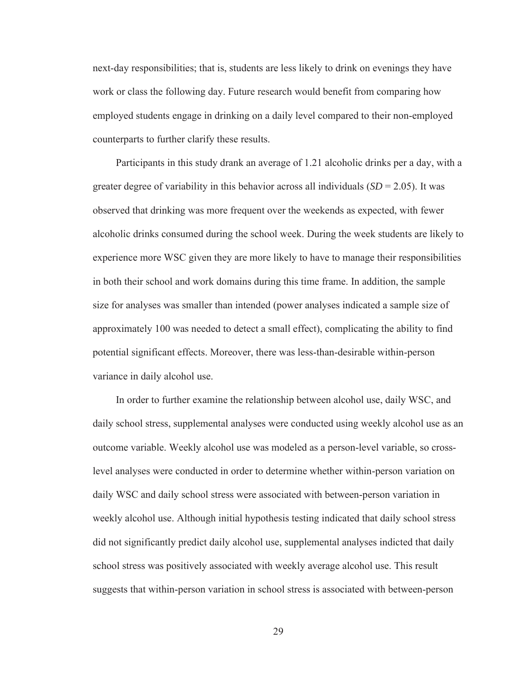next-day responsibilities; that is, students are less likely to drink on evenings they have work or class the following day. Future research would benefit from comparing how employed students engage in drinking on a daily level compared to their non-employed counterparts to further clarify these results.

Participants in this study drank an average of 1.21 alcoholic drinks per a day, with a greater degree of variability in this behavior across all individuals  $(SD = 2.05)$ . It was observed that drinking was more frequent over the weekends as expected, with fewer alcoholic drinks consumed during the school week. During the week students are likely to experience more WSC given they are more likely to have to manage their responsibilities in both their school and work domains during this time frame. In addition, the sample size for analyses was smaller than intended (power analyses indicated a sample size of approximately 100 was needed to detect a small effect), complicating the ability to find potential significant effects. Moreover, there was less-than-desirable within-person variance in daily alcohol use.

In order to further examine the relationship between alcohol use, daily WSC, and daily school stress, supplemental analyses were conducted using weekly alcohol use as an outcome variable. Weekly alcohol use was modeled as a person-level variable, so crosslevel analyses were conducted in order to determine whether within-person variation on daily WSC and daily school stress were associated with between-person variation in weekly alcohol use. Although initial hypothesis testing indicated that daily school stress did not significantly predict daily alcohol use, supplemental analyses indicted that daily school stress was positively associated with weekly average alcohol use. This result suggests that within-person variation in school stress is associated with between-person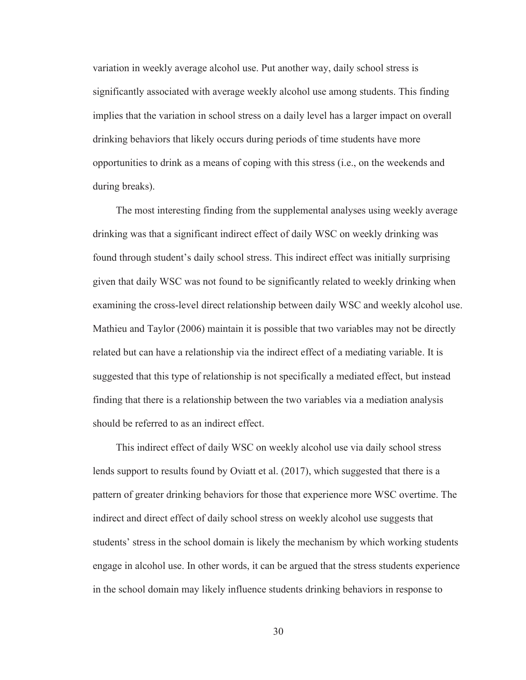variation in weekly average alcohol use. Put another way, daily school stress is significantly associated with average weekly alcohol use among students. This finding implies that the variation in school stress on a daily level has a larger impact on overall drinking behaviors that likely occurs during periods of time students have more opportunities to drink as a means of coping with this stress (i.e., on the weekends and during breaks).

The most interesting finding from the supplemental analyses using weekly average drinking was that a significant indirect effect of daily WSC on weekly drinking was found through student's daily school stress. This indirect effect was initially surprising given that daily WSC was not found to be significantly related to weekly drinking when examining the cross-level direct relationship between daily WSC and weekly alcohol use. Mathieu and Taylor (2006) maintain it is possible that two variables may not be directly related but can have a relationship via the indirect effect of a mediating variable. It is suggested that this type of relationship is not specifically a mediated effect, but instead finding that there is a relationship between the two variables via a mediation analysis should be referred to as an indirect effect.

This indirect effect of daily WSC on weekly alcohol use via daily school stress lends support to results found by Oviatt et al. (2017), which suggested that there is a pattern of greater drinking behaviors for those that experience more WSC overtime. The indirect and direct effect of daily school stress on weekly alcohol use suggests that students' stress in the school domain is likely the mechanism by which working students engage in alcohol use. In other words, it can be argued that the stress students experience in the school domain may likely influence students drinking behaviors in response to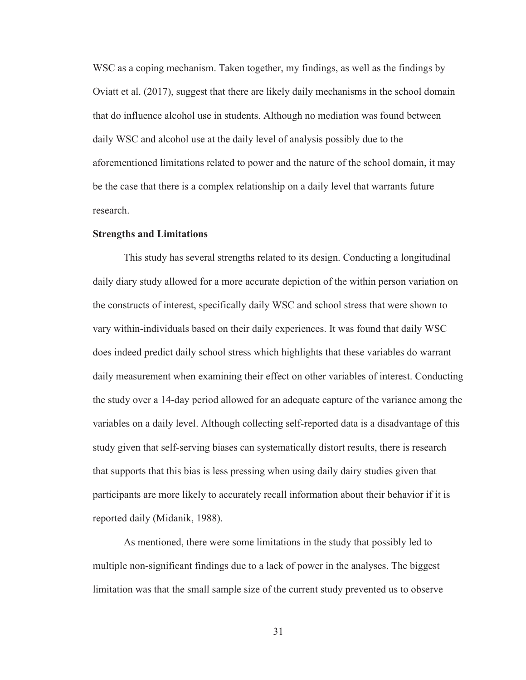WSC as a coping mechanism. Taken together, my findings, as well as the findings by Oviatt et al. (2017), suggest that there are likely daily mechanisms in the school domain that do influence alcohol use in students. Although no mediation was found between daily WSC and alcohol use at the daily level of analysis possibly due to the aforementioned limitations related to power and the nature of the school domain, it may be the case that there is a complex relationship on a daily level that warrants future research.

#### **Strengths and Limitations**

This study has several strengths related to its design. Conducting a longitudinal daily diary study allowed for a more accurate depiction of the within person variation on the constructs of interest, specifically daily WSC and school stress that were shown to vary within-individuals based on their daily experiences. It was found that daily WSC does indeed predict daily school stress which highlights that these variables do warrant daily measurement when examining their effect on other variables of interest. Conducting the study over a 14-day period allowed for an adequate capture of the variance among the variables on a daily level. Although collecting self-reported data is a disadvantage of this study given that self-serving biases can systematically distort results, there is research that supports that this bias is less pressing when using daily dairy studies given that participants are more likely to accurately recall information about their behavior if it is reported daily (Midanik, 1988).

As mentioned, there were some limitations in the study that possibly led to multiple non-significant findings due to a lack of power in the analyses. The biggest limitation was that the small sample size of the current study prevented us to observe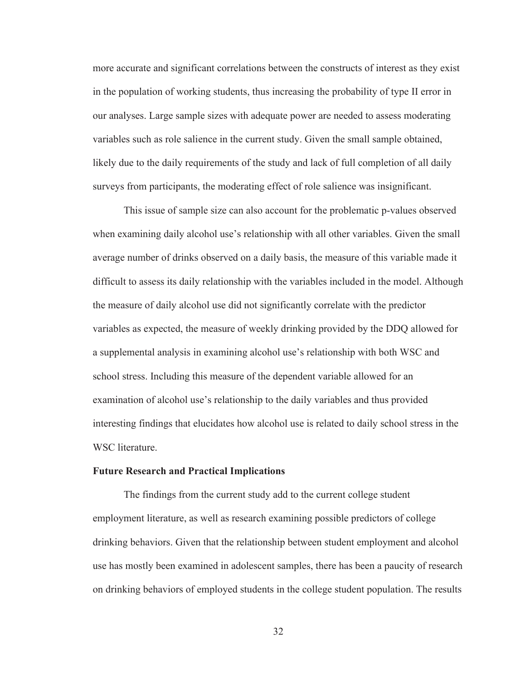more accurate and significant correlations between the constructs of interest as they exist in the population of working students, thus increasing the probability of type II error in our analyses. Large sample sizes with adequate power are needed to assess moderating variables such as role salience in the current study. Given the small sample obtained, likely due to the daily requirements of the study and lack of full completion of all daily surveys from participants, the moderating effect of role salience was insignificant.

This issue of sample size can also account for the problematic p-values observed when examining daily alcohol use's relationship with all other variables. Given the small average number of drinks observed on a daily basis, the measure of this variable made it difficult to assess its daily relationship with the variables included in the model. Although the measure of daily alcohol use did not significantly correlate with the predictor variables as expected, the measure of weekly drinking provided by the DDQ allowed for a supplemental analysis in examining alcohol use's relationship with both WSC and school stress. Including this measure of the dependent variable allowed for an examination of alcohol use's relationship to the daily variables and thus provided interesting findings that elucidates how alcohol use is related to daily school stress in the WSC literature.

#### **Future Research and Practical Implications**

The findings from the current study add to the current college student employment literature, as well as research examining possible predictors of college drinking behaviors. Given that the relationship between student employment and alcohol use has mostly been examined in adolescent samples, there has been a paucity of research on drinking behaviors of employed students in the college student population. The results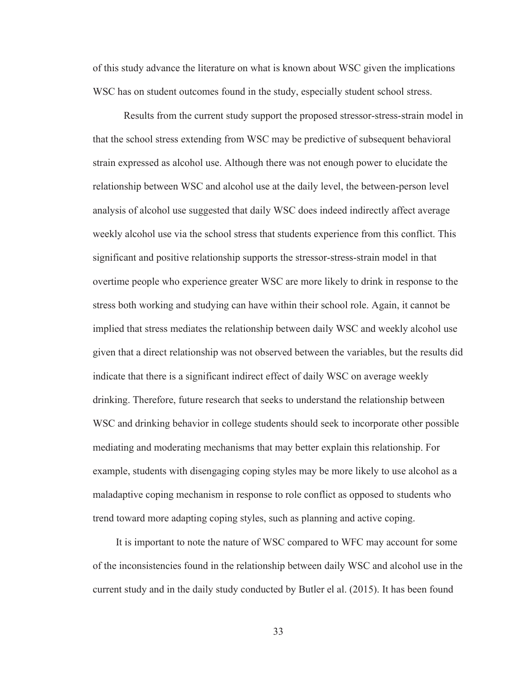of this study advance the literature on what is known about WSC given the implications WSC has on student outcomes found in the study, especially student school stress.

Results from the current study support the proposed stressor-stress-strain model in that the school stress extending from WSC may be predictive of subsequent behavioral strain expressed as alcohol use. Although there was not enough power to elucidate the relationship between WSC and alcohol use at the daily level, the between-person level analysis of alcohol use suggested that daily WSC does indeed indirectly affect average weekly alcohol use via the school stress that students experience from this conflict. This significant and positive relationship supports the stressor-stress-strain model in that overtime people who experience greater WSC are more likely to drink in response to the stress both working and studying can have within their school role. Again, it cannot be implied that stress mediates the relationship between daily WSC and weekly alcohol use given that a direct relationship was not observed between the variables, but the results did indicate that there is a significant indirect effect of daily WSC on average weekly drinking. Therefore, future research that seeks to understand the relationship between WSC and drinking behavior in college students should seek to incorporate other possible mediating and moderating mechanisms that may better explain this relationship. For example, students with disengaging coping styles may be more likely to use alcohol as a maladaptive coping mechanism in response to role conflict as opposed to students who trend toward more adapting coping styles, such as planning and active coping.

It is important to note the nature of WSC compared to WFC may account for some of the inconsistencies found in the relationship between daily WSC and alcohol use in the current study and in the daily study conducted by Butler el al. (2015). It has been found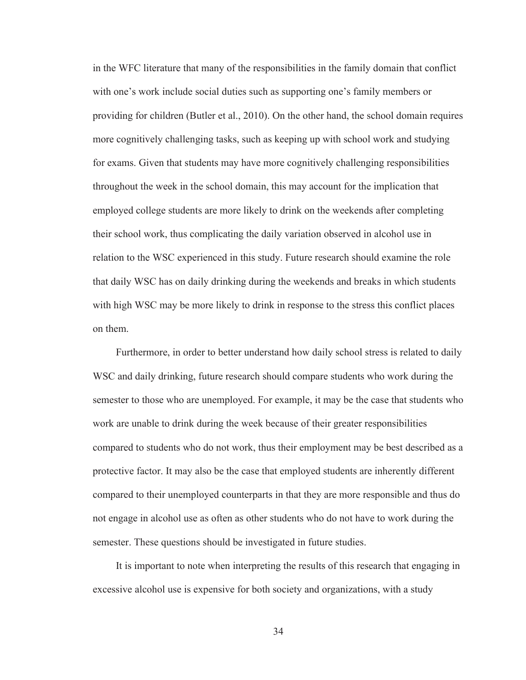in the WFC literature that many of the responsibilities in the family domain that conflict with one's work include social duties such as supporting one's family members or providing for children (Butler et al., 2010). On the other hand, the school domain requires more cognitively challenging tasks, such as keeping up with school work and studying for exams. Given that students may have more cognitively challenging responsibilities throughout the week in the school domain, this may account for the implication that employed college students are more likely to drink on the weekends after completing their school work, thus complicating the daily variation observed in alcohol use in relation to the WSC experienced in this study. Future research should examine the role that daily WSC has on daily drinking during the weekends and breaks in which students with high WSC may be more likely to drink in response to the stress this conflict places on them.

Furthermore, in order to better understand how daily school stress is related to daily WSC and daily drinking, future research should compare students who work during the semester to those who are unemployed. For example, it may be the case that students who work are unable to drink during the week because of their greater responsibilities compared to students who do not work, thus their employment may be best described as a protective factor. It may also be the case that employed students are inherently different compared to their unemployed counterparts in that they are more responsible and thus do not engage in alcohol use as often as other students who do not have to work during the semester. These questions should be investigated in future studies.

It is important to note when interpreting the results of this research that engaging in excessive alcohol use is expensive for both society and organizations, with a study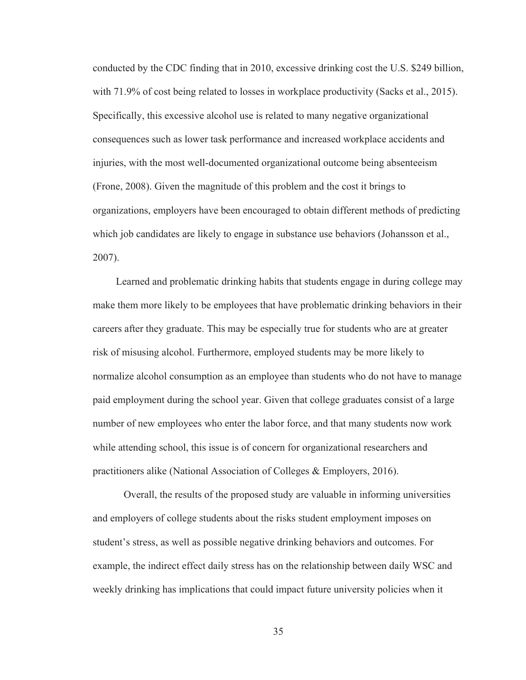conducted by the CDC finding that in 2010, excessive drinking cost the U.S. \$249 billion, with 71.9% of cost being related to losses in workplace productivity (Sacks et al., 2015). Specifically, this excessive alcohol use is related to many negative organizational consequences such as lower task performance and increased workplace accidents and injuries, with the most well-documented organizational outcome being absenteeism (Frone, 2008). Given the magnitude of this problem and the cost it brings to organizations, employers have been encouraged to obtain different methods of predicting which job candidates are likely to engage in substance use behaviors (Johansson et al., 2007).

Learned and problematic drinking habits that students engage in during college may make them more likely to be employees that have problematic drinking behaviors in their careers after they graduate. This may be especially true for students who are at greater risk of misusing alcohol. Furthermore, employed students may be more likely to normalize alcohol consumption as an employee than students who do not have to manage paid employment during the school year. Given that college graduates consist of a large number of new employees who enter the labor force, and that many students now work while attending school, this issue is of concern for organizational researchers and practitioners alike (National Association of Colleges & Employers, 2016).

Overall, the results of the proposed study are valuable in informing universities and employers of college students about the risks student employment imposes on student's stress, as well as possible negative drinking behaviors and outcomes. For example, the indirect effect daily stress has on the relationship between daily WSC and weekly drinking has implications that could impact future university policies when it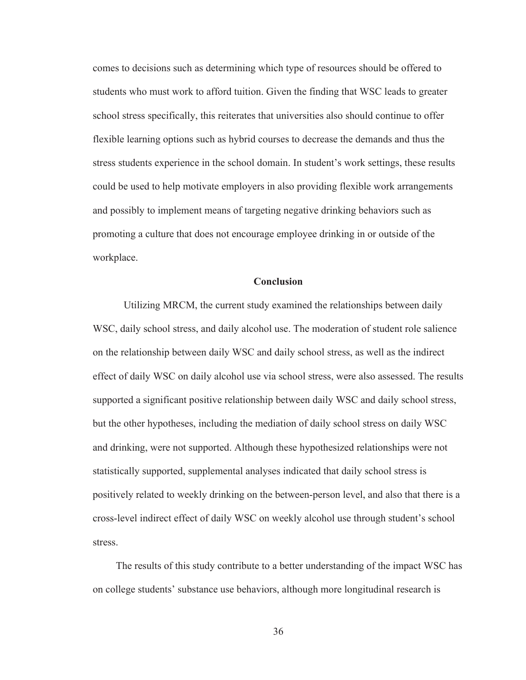comes to decisions such as determining which type of resources should be offered to students who must work to afford tuition. Given the finding that WSC leads to greater school stress specifically, this reiterates that universities also should continue to offer flexible learning options such as hybrid courses to decrease the demands and thus the stress students experience in the school domain. In student's work settings, these results could be used to help motivate employers in also providing flexible work arrangements and possibly to implement means of targeting negative drinking behaviors such as promoting a culture that does not encourage employee drinking in or outside of the workplace.

#### **Conclusion**

 Utilizing MRCM, the current study examined the relationships between daily WSC, daily school stress, and daily alcohol use. The moderation of student role salience on the relationship between daily WSC and daily school stress, as well as the indirect effect of daily WSC on daily alcohol use via school stress, were also assessed. The results supported a significant positive relationship between daily WSC and daily school stress, but the other hypotheses, including the mediation of daily school stress on daily WSC and drinking, were not supported. Although these hypothesized relationships were not statistically supported, supplemental analyses indicated that daily school stress is positively related to weekly drinking on the between-person level, and also that there is a cross-level indirect effect of daily WSC on weekly alcohol use through student's school stress.

The results of this study contribute to a better understanding of the impact WSC has on college students' substance use behaviors, although more longitudinal research is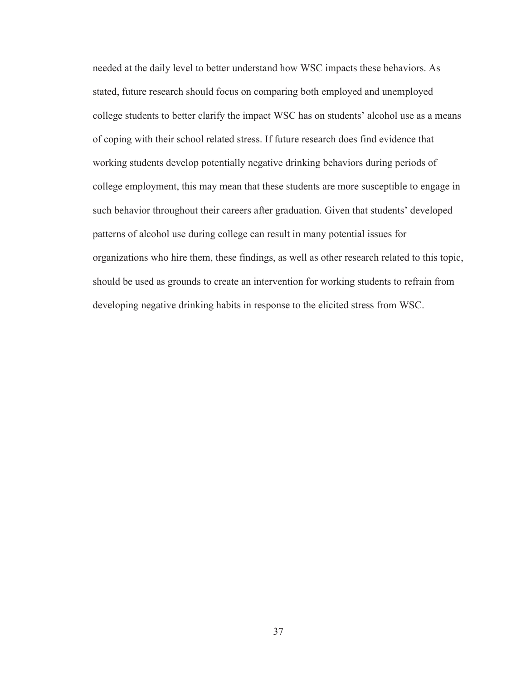needed at the daily level to better understand how WSC impacts these behaviors. As stated, future research should focus on comparing both employed and unemployed college students to better clarify the impact WSC has on students' alcohol use as a means of coping with their school related stress. If future research does find evidence that working students develop potentially negative drinking behaviors during periods of college employment, this may mean that these students are more susceptible to engage in such behavior throughout their careers after graduation. Given that students' developed patterns of alcohol use during college can result in many potential issues for organizations who hire them, these findings, as well as other research related to this topic, should be used as grounds to create an intervention for working students to refrain from developing negative drinking habits in response to the elicited stress from WSC.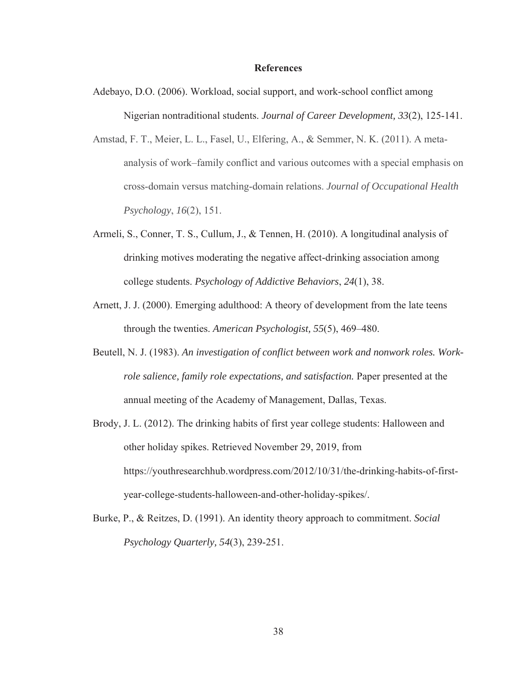#### **References**

- Adebayo, D.O. (2006). Workload, social support, and work-school conflict among Nigerian nontraditional students. *Journal of Career Development, 33*(2), 125-141.
- Amstad, F. T., Meier, L. L., Fasel, U., Elfering, A., & Semmer, N. K. (2011). A metaanalysis of work–family conflict and various outcomes with a special emphasis on cross-domain versus matching-domain relations. *Journal of Occupational Health Psychology*, *16*(2), 151.
- Armeli, S., Conner, T. S., Cullum, J., & Tennen, H. (2010). A longitudinal analysis of drinking motives moderating the negative affect-drinking association among college students. *Psychology of Addictive Behaviors*, *24*(1), 38.
- Arnett, J. J. (2000). Emerging adulthood: A theory of development from the late teens through the twenties. *American Psychologist, 55*(5), 469–480.
- Beutell, N. J. (1983). *An investigation of conflict between work and nonwork roles. Workrole salience, family role expectations, and satisfaction.* Paper presented at the annual meeting of the Academy of Management, Dallas, Texas.
- Brody, J. L. (2012). The drinking habits of first year college students: Halloween and other holiday spikes. Retrieved November 29, 2019, from https://youthresearchhub.wordpress.com/2012/10/31/the-drinking-habits-of-firstyear-college-students-halloween-and-other-holiday-spikes/.
- Burke, P., & Reitzes, D. (1991). An identity theory approach to commitment. *Social Psychology Quarterly, 54*(3), 239-251.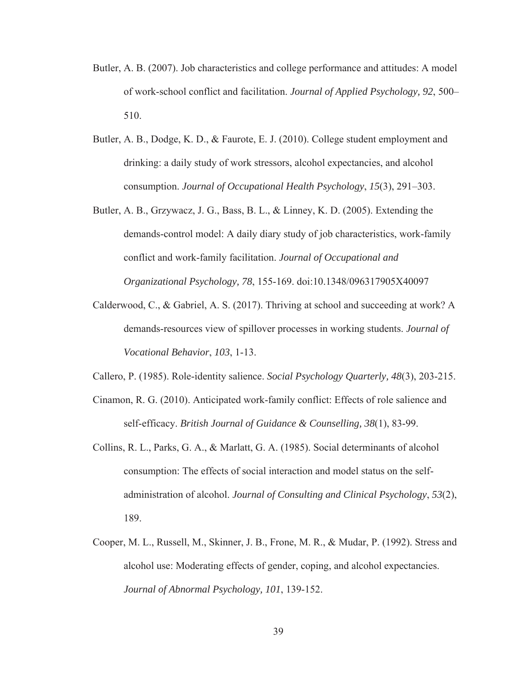- Butler, A. B. (2007). Job characteristics and college performance and attitudes: A model of work-school conflict and facilitation. *Journal of Applied Psychology, 92*, 500– 510.
- Butler, A. B., Dodge, K. D., & Faurote, E. J. (2010). College student employment and drinking: a daily study of work stressors, alcohol expectancies, and alcohol consumption. *Journal of Occupational Health Psychology*, *15*(3), 291–303.
- Butler, A. B., Grzywacz, J. G., Bass, B. L., & Linney, K. D. (2005). Extending the demands‐control model: A daily diary study of job characteristics, work‐family conflict and work‐family facilitation. *Journal of Occupational and Organizational Psychology, 78*, 155-169. doi:10.1348/096317905X40097
- Calderwood, C., & Gabriel, A. S. (2017). Thriving at school and succeeding at work? A demands-resources view of spillover processes in working students. *Journal of Vocational Behavior*, *103*, 1-13.

Callero, P. (1985). Role-identity salience. *Social Psychology Quarterly, 48*(3), 203-215.

- Cinamon, R. G. (2010). Anticipated work-family conflict: Effects of role salience and self-efficacy. *British Journal of Guidance & Counselling, 38*(1), 83-99.
- Collins, R. L., Parks, G. A., & Marlatt, G. A. (1985). Social determinants of alcohol consumption: The effects of social interaction and model status on the selfadministration of alcohol. *Journal of Consulting and Clinical Psychology*, *53*(2), 189.
- Cooper, M. L., Russell, M., Skinner, J. B., Frone, M. R., & Mudar, P. (1992). Stress and alcohol use: Moderating effects of gender, coping, and alcohol expectancies. *Journal of Abnormal Psychology, 101*, 139-152.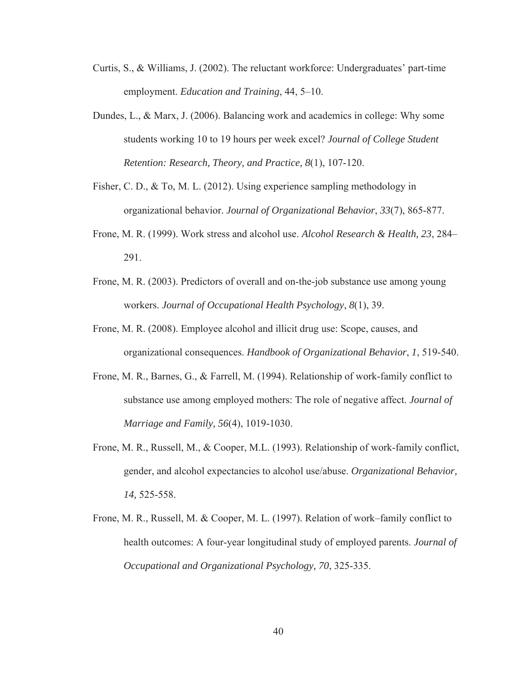- Curtis, S., & Williams, J. (2002). The reluctant workforce: Undergraduates' part-time employment. *Education and Training*, 44, 5–10.
- Dundes, L., & Marx, J. (2006). Balancing work and academics in college: Why some students working 10 to 19 hours per week excel? *Journal of College Student Retention: Research, Theory, and Practice, 8*(1), 107-120.
- Fisher, C. D., & To, M. L. (2012). Using experience sampling methodology in organizational behavior. *Journal of Organizational Behavior*, *33*(7), 865-877.
- Frone, M. R. (1999). Work stress and alcohol use. *Alcohol Research & Health, 23*, 284– 291.
- Frone, M. R. (2003). Predictors of overall and on-the-job substance use among young workers. *Journal of Occupational Health Psychology*, *8*(1), 39.
- Frone, M. R. (2008). Employee alcohol and illicit drug use: Scope, causes, and organizational consequences. *Handbook of Organizational Behavior*, *1*, 519-540.
- Frone, M. R., Barnes, G., & Farrell, M. (1994). Relationship of work-family conflict to substance use among employed mothers: The role of negative affect. *Journal of Marriage and Family, 56*(4), 1019-1030.
- Frone, M. R., Russell, M., & Cooper, M.L. (1993). Relationship of work-family conflict, gender, and alcohol expectancies to alcohol use/abuse. *Organizational Behavior, 14,* 525-558.
- Frone, M. R., Russell, M. & Cooper, M. L. (1997). Relation of work–family conflict to health outcomes: A four‐year longitudinal study of employed parents. *Journal of Occupational and Organizational Psychology, 70*, 325-335.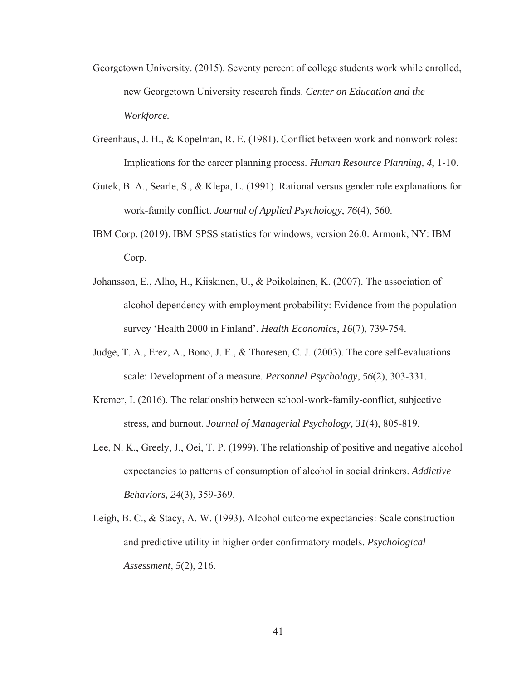- Georgetown University. (2015). Seventy percent of college students work while enrolled, new Georgetown University research finds. *Center on Education and the Workforce.*
- Greenhaus, J. H., & Kopelman, R. E. (1981). Conflict between work and nonwork roles: Implications for the career planning process. *Human Resource Planning, 4*, 1-10.
- Gutek, B. A., Searle, S., & Klepa, L. (1991). Rational versus gender role explanations for work-family conflict. *Journal of Applied Psychology*, *76*(4), 560.
- IBM Corp. (2019). IBM SPSS statistics for windows, version 26.0. Armonk, NY: IBM Corp.
- Johansson, E., Alho, H., Kiiskinen, U., & Poikolainen, K. (2007). The association of alcohol dependency with employment probability: Evidence from the population survey 'Health 2000 in Finland'. *Health Economics*, *16*(7), 739-754.
- Judge, T. A., Erez, A., Bono, J. E., & Thoresen, C. J. (2003). The core self-evaluations scale: Development of a measure. *Personnel Psychology*, *56*(2), 303-331.
- Kremer, I. (2016). The relationship between school-work-family-conflict, subjective stress, and burnout. *Journal of Managerial Psychology*, *31*(4), 805-819.
- Lee, N. K., Greely, J., Oei, T. P. (1999). The relationship of positive and negative alcohol expectancies to patterns of consumption of alcohol in social drinkers. *Addictive Behaviors, 24*(3), 359-369.
- Leigh, B. C., & Stacy, A. W. (1993). Alcohol outcome expectancies: Scale construction and predictive utility in higher order confirmatory models. *Psychological Assessment*, *5*(2), 216.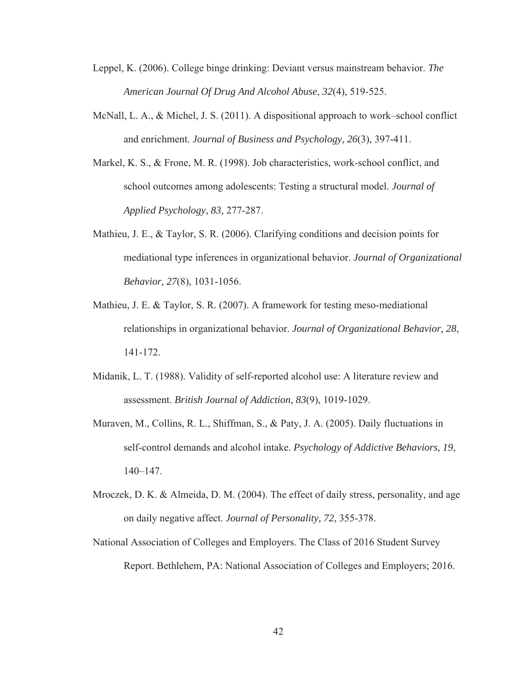- Leppel, K. (2006). College binge drinking: Deviant versus mainstream behavior. *The American Journal Of Drug And Alcohol Abuse*, *32*(4), 519-525.
- McNall, L. A., & Michel, J. S. (2011). A dispositional approach to work–school conflict and enrichment. *Journal of Business and Psychology*, *26*(3), 397-411.
- Markel, K. S., & Frone, M. R. (1998). Job characteristics, work-school conflict, and school outcomes among adolescents: Testing a structural model. *Journal of Applied Psychology, 83,* 277-287.
- Mathieu, J. E., & Taylor, S. R. (2006). Clarifying conditions and decision points for mediational type inferences in organizational behavior. *Journal of Organizational Behavior, 27*(8), 1031-1056.
- Mathieu, J. E. & Taylor, S. R. (2007). A framework for testing meso-mediational relationships in organizational behavior. *Journal of Organizational Behavior, 28*, 141-172.
- Midanik, L. T. (1988). Validity of self‐reported alcohol use: A literature review and assessment. *British Journal of Addiction*, *83*(9), 1019-1029.
- Muraven, M., Collins, R. L., Shiffman, S., & Paty, J. A. (2005). Daily fluctuations in self-control demands and alcohol intake. *Psychology of Addictive Behaviors, 19*, 140–147.
- Mroczek, D. K. & Almeida, D. M. (2004). The effect of daily stress, personality, and age on daily negative affect. *Journal of Personality, 72*, 355-378.
- National Association of Colleges and Employers. The Class of 2016 Student Survey Report. Bethlehem, PA: National Association of Colleges and Employers; 2016.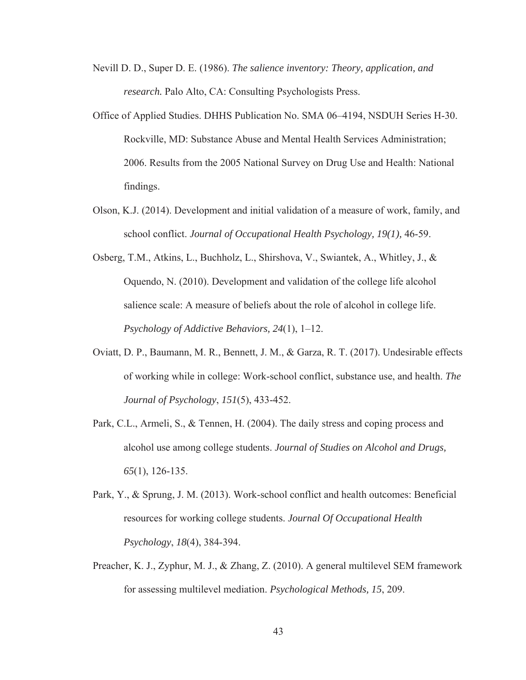- Nevill D. D., Super D. E. (1986). *The salience inventory: Theory, application, and research.* Palo Alto, CA: Consulting Psychologists Press.
- Office of Applied Studies. DHHS Publication No. SMA 06–4194, NSDUH Series H-30. Rockville, MD: Substance Abuse and Mental Health Services Administration; 2006. Results from the 2005 National Survey on Drug Use and Health: National findings.
- Olson, K.J. (2014). Development and initial validation of a measure of work, family, and school conflict. *Journal of Occupational Health Psychology, 19(1),* 46-59.
- Osberg, T.M., Atkins, L., Buchholz, L., Shirshova, V., Swiantek, A., Whitley, J., & Oquendo, N. (2010). Development and validation of the college life alcohol salience scale: A measure of beliefs about the role of alcohol in college life. *Psychology of Addictive Behaviors, 24*(1), 1–12.
- Oviatt, D. P., Baumann, M. R., Bennett, J. M., & Garza, R. T. (2017). Undesirable effects of working while in college: Work-school conflict, substance use, and health. *The Journal of Psychology*, *151*(5), 433-452.
- Park, C.L., Armeli, S., & Tennen, H. (2004). The daily stress and coping process and alcohol use among college students. *Journal of Studies on Alcohol and Drugs, 65*(1), 126-135.
- Park, Y., & Sprung, J. M. (2013). Work-school conflict and health outcomes: Beneficial resources for working college students. *Journal Of Occupational Health Psychology*, *18*(4), 384-394.
- Preacher, K. J., Zyphur, M. J., & Zhang, Z. (2010). A general multilevel SEM framework for assessing multilevel mediation. *Psychological Methods, 15*, 209.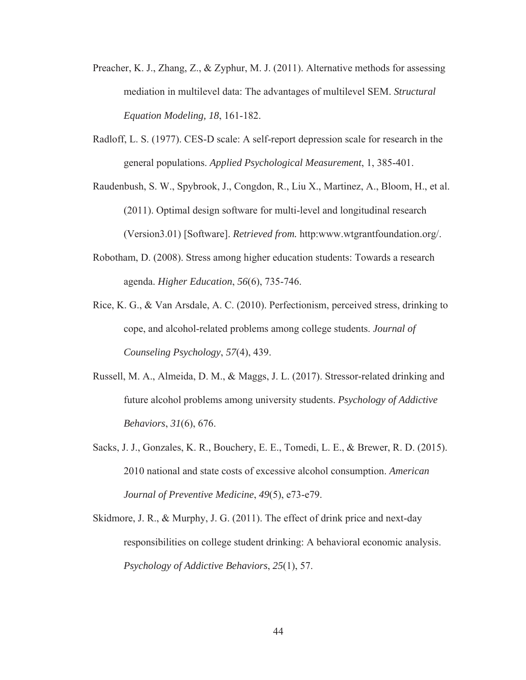- Preacher, K. J., Zhang, Z., & Zyphur, M. J. (2011). Alternative methods for assessing mediation in multilevel data: The advantages of multilevel SEM. *Structural Equation Modeling, 18*, 161-182.
- Radloff, L. S. (1977). CES-D scale: A self-report depression scale for research in the general populations. *Applied Psychological Measurement*, 1, 385-401.
- Raudenbush, S. W., Spybrook, J., Congdon, R., Liu X., Martinez, A., Bloom, H., et al. (2011). Optimal design software for multi-level and longitudinal research (Version3.01) [Software]. *Retrieved from.* http:www.wtgrantfoundation.org/.
- Robotham, D. (2008). Stress among higher education students: Towards a research agenda. *Higher Education*, *56*(6), 735-746.
- Rice, K. G., & Van Arsdale, A. C. (2010). Perfectionism, perceived stress, drinking to cope, and alcohol-related problems among college students. *Journal of Counseling Psychology*, *57*(4), 439.
- Russell, M. A., Almeida, D. M., & Maggs, J. L. (2017). Stressor-related drinking and future alcohol problems among university students. *Psychology of Addictive Behaviors*, *31*(6), 676.
- Sacks, J. J., Gonzales, K. R., Bouchery, E. E., Tomedi, L. E., & Brewer, R. D. (2015). 2010 national and state costs of excessive alcohol consumption. *American Journal of Preventive Medicine*, *49*(5), e73-e79.
- Skidmore, J. R., & Murphy, J. G. (2011). The effect of drink price and next-day responsibilities on college student drinking: A behavioral economic analysis. *Psychology of Addictive Behaviors*, *25*(1), 57.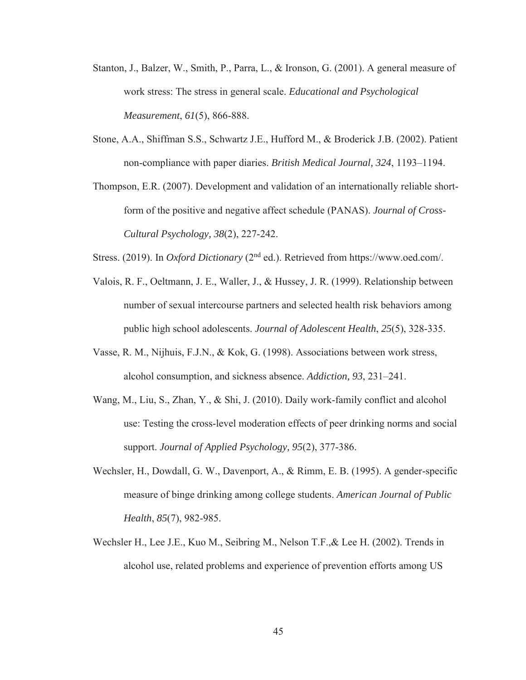- Stanton, J., Balzer, W., Smith, P., Parra, L., & Ironson, G. (2001). A general measure of work stress: The stress in general scale. *Educational and Psychological Measurement*, *61*(5), 866-888.
- Stone, A.A., Shiffman S.S., Schwartz J.E., Hufford M., & Broderick J.B. (2002). Patient non-compliance with paper diaries. *British Medical Journal, 324*, 1193–1194.
- Thompson, E.R. (2007). Development and validation of an internationally reliable shortform of the positive and negative affect schedule (PANAS). *Journal of Cross-Cultural Psychology, 38*(2), 227-242.
- Stress. (2019). In *Oxford Dictionary* (2nd ed.). Retrieved from https://www.oed.com/.
- Valois, R. F., Oeltmann, J. E., Waller, J., & Hussey, J. R. (1999). Relationship between number of sexual intercourse partners and selected health risk behaviors among public high school adolescents. *Journal of Adolescent Health*, *25*(5), 328-335.
- Vasse, R. M., Nijhuis, F.J.N., & Kok, G. (1998). Associations between work stress, alcohol consumption, and sickness absence. *Addiction, 93*, 231–241.
- Wang, M., Liu, S., Zhan, Y., & Shi, J. (2010). Daily work-family conflict and alcohol use: Testing the cross-level moderation effects of peer drinking norms and social support. *Journal of Applied Psychology, 95*(2), 377-386.
- Wechsler, H., Dowdall, G. W., Davenport, A., & Rimm, E. B. (1995). A gender-specific measure of binge drinking among college students. *American Journal of Public Health*, *85*(7), 982-985.
- Wechsler H., Lee J.E., Kuo M., Seibring M., Nelson T.F.,& Lee H. (2002). Trends in alcohol use, related problems and experience of prevention efforts among US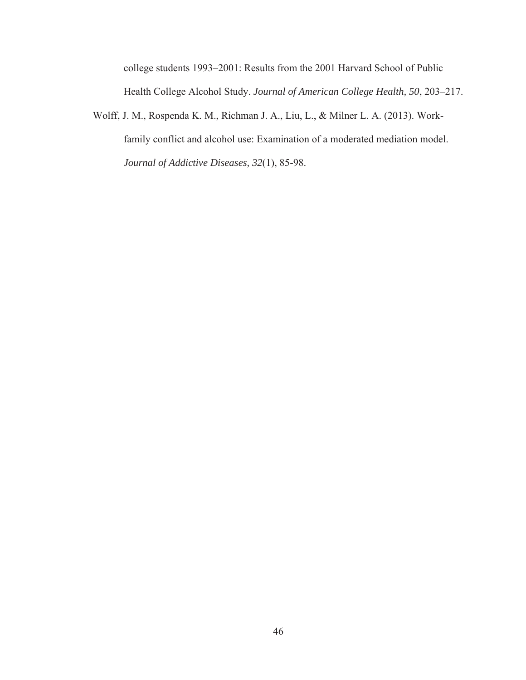college students 1993–2001: Results from the 2001 Harvard School of Public Health College Alcohol Study. *Journal of American College Health, 50*, 203–217.

Wolff, J. M., Rospenda K. M., Richman J. A., Liu, L., & Milner L. A. (2013). Workfamily conflict and alcohol use: Examination of a moderated mediation model. *Journal of Addictive Diseases, 32*(1), 85-98.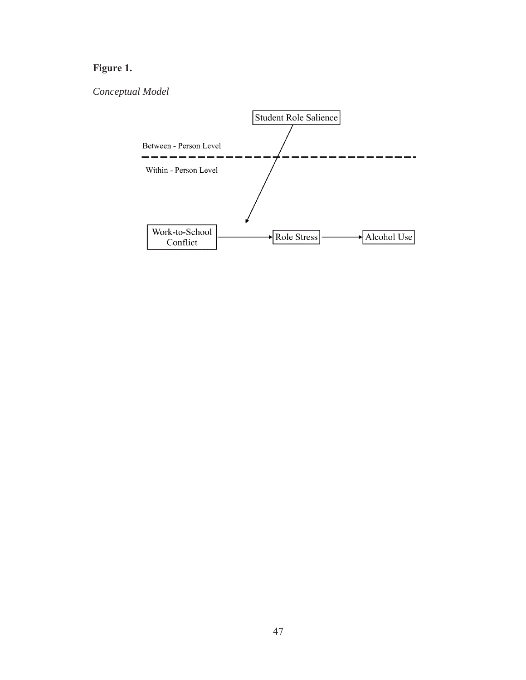# **Figure 1.**

# *Conceptual Model*

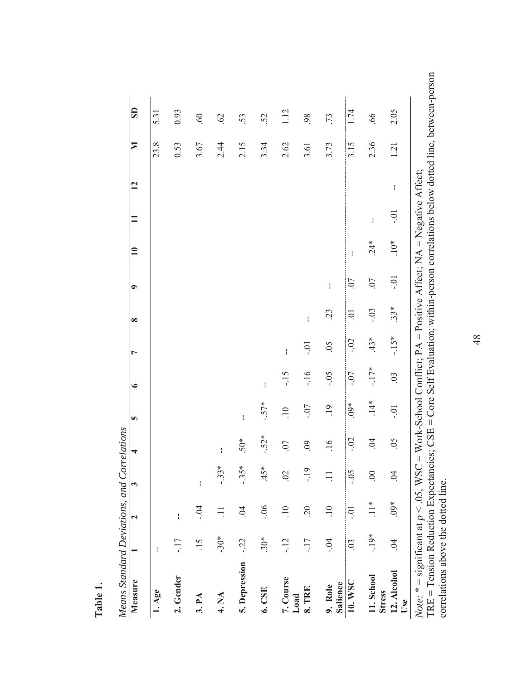| Means Standard Deviations, and Correlations                     |                |                       |                     |                  |                                                                                                     |             |               |               |             |                 |              |              |      |                         |
|-----------------------------------------------------------------|----------------|-----------------------|---------------------|------------------|-----------------------------------------------------------------------------------------------------|-------------|---------------|---------------|-------------|-----------------|--------------|--------------|------|-------------------------|
| Measure                                                         |                | $\mathbf{\tilde{c}}$  | 3                   | 4                | 5                                                                                                   | $\bullet$   | L             | $\infty$      | $\bullet$   | $\overline{10}$ | $\mathbf{I}$ | 12           | Σ    | $\overline{\mathbf{S}}$ |
| 1. Age                                                          | ł              |                       |                     |                  |                                                                                                     |             |               |               |             |                 |              |              | 23.8 | 5.31                    |
| 2. Gender                                                       | $-17$          | $\mathop{!}\nolimits$ |                     |                  |                                                                                                     |             |               |               |             |                 |              |              | 0.53 | 0.93                    |
| 3. PA                                                           | $\frac{5}{1}$  | $-0.4$                | $\frac{1}{1}$       |                  |                                                                                                     |             |               |               |             |                 |              |              | 3.67 | 09.                     |
| 4. NA                                                           | $-30*$         |                       | ∗<br>$-33$          | $\mathfrak l$    |                                                                                                     |             |               |               |             |                 |              |              | 2.44 | .62                     |
| 5. Depression                                                   | $-22$          | $\dot{5}$             | $-35*$              | $50*$            | $\mathsf{I}$                                                                                        |             |               |               |             |                 |              |              | 2.15 | 53.                     |
| 6. CSE                                                          | $30*$          | $-0.06$               | $45*$               | $-52*$           | $-57*$                                                                                              | $\mathsf I$ |               |               |             |                 |              |              | 3.34 | .52                     |
| 7. Course<br>Load                                               | $-12$          | $\overline{10}$       | $\ddot{\mathrm{S}}$ | .07              | $\overline{10}$                                                                                     | $-15$       | $\mathfrak l$ |               |             |                 |              |              | 2.62 | 1.12                    |
| 8. TRE                                                          | $-17$          | $\overline{c}$ .      | ٩<br>Ę              | .09              | $-0.7$                                                                                              | $-16$       | $-0.1$        | ł             |             |                 |              |              | 3.61 | 98                      |
| Salience<br>9. Role                                             | $-0.4$         | $\overline{10}$       |                     | $\overline{.16}$ | $\overline{.}$                                                                                      | $-0.5$      | 05            | 23            | ł           |                 |              |              | 3.73 | .73                     |
| 10. WSC                                                         | $\overline{0}$ | $-0.01$               | $-0.5$              | $-0.2$           | $.09*$                                                                                              | $-0.7$      | $-0.2$        | $\Xi$         | <b>CO</b> . | ł               |              |              | 3.15 | 1.74                    |
| 11. School<br><b>Stress</b>                                     | $-19*$         | $\frac{*}{\cdot}$     | $\odot$             | $\dot{5}$        | $\stackrel{*}{\neq}$                                                                                | $-17*$      | $43*$         | $-0.3$        | .07         | $24*$           | $\mathbf{I}$ |              | 2.36 | .66                     |
| 12. Alcohol<br>Use                                              | $\ddot{q}$     | $.09*$                | $\ddot{9}$          | 50.              | $-0.1$                                                                                              | .03         | $-15*$        | $.33*$        | $-0.1$      | $10*$           | $-0.1$       | $\mathbf{I}$ | 1.21 | 2.05                    |
| <i>Note</i> : * = significant at $p < .05$ , WS<br>$\mathsf{F}$ | $\frac{1}{2}$  | $\mathsf{L}$          |                     | コマて              | $C = W \text{ork-School Comflict}$ ; $PA = Positive Afterct$ ; $NA = Negative Afterct$ ;<br>$\zeta$ | $T$ $T$     |               | $\frac{1}{2}$ |             | i,              |              |              |      |                         |

**Table 1.** 

Table 1.

 $\text{TRE} = \text{Tension Reduction Expectances}; \text{CSE} = \text{Core Self Evaluation}; \text{within-person correlations below dotted line}, \text{between-person correlations above the dotted line}.$ TRE = Tension Reduction Expectancies; CSE = Core Self Evaluation; within-person correlations below dotted line, between-person correlations above the dotted line. Š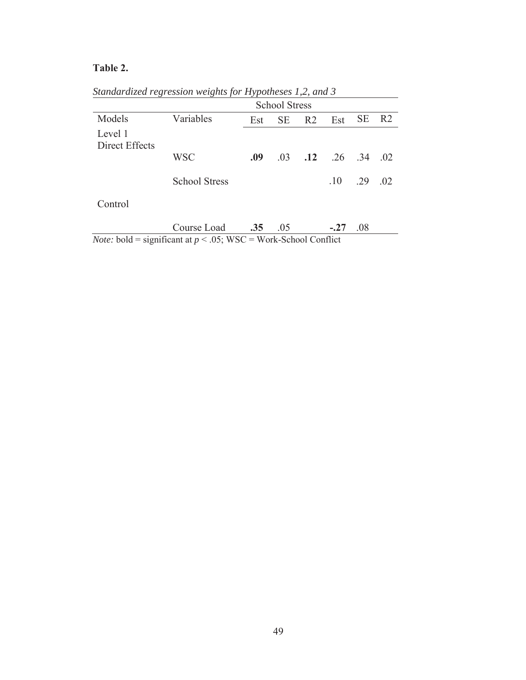# **Table 2.**

|                           |                      |     | <b>School Stress</b> |                |                     |           |                |
|---------------------------|----------------------|-----|----------------------|----------------|---------------------|-----------|----------------|
| Models                    | Variables            | Est | <b>SE</b>            | R <sub>2</sub> | Est                 | <b>SE</b> | R <sub>2</sub> |
| Level 1<br>Direct Effects |                      |     |                      |                |                     |           |                |
|                           | <b>WSC</b>           | .09 | .03                  |                | $.12 \t .26 \t .34$ |           | .02            |
|                           | <b>School Stress</b> |     |                      |                | .10                 | .29       | .02            |
| Control                   |                      |     |                      |                |                     |           |                |
|                           | Course Load          | .35 | .05                  |                | $-.27$              | .08       |                |

*Standardized regression weights for Hypotheses 1,2, and 3* 

*Note:* bold = significant at  $p < .05$ ; WSC = Work-School Conflict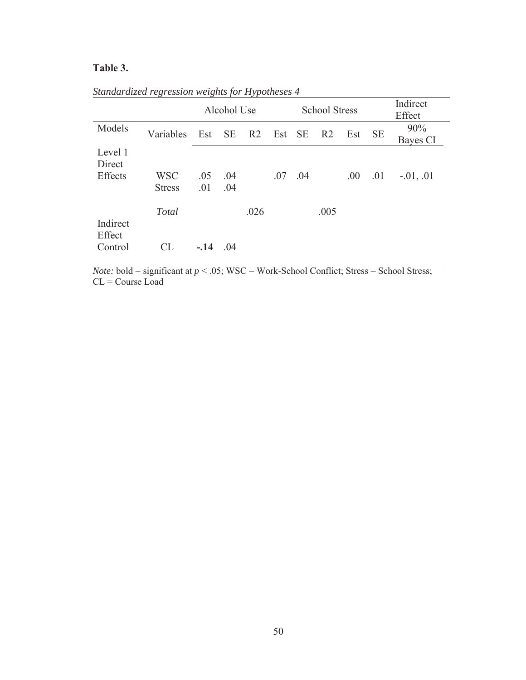# **Table 3.**

|                    |                             |            |            | Alcohol Use<br><b>School Stress</b><br>Effect |        |     |                |      |           | Indirect        |
|--------------------|-----------------------------|------------|------------|-----------------------------------------------|--------|-----|----------------|------|-----------|-----------------|
| Models             | Variables                   | Est        | <b>SE</b>  | R2                                            | Est SE |     | R <sub>2</sub> | Est  | <b>SE</b> | 90%<br>Bayes CI |
| Level 1<br>Direct  |                             |            |            |                                               |        |     |                |      |           |                 |
| Effects            | <b>WSC</b><br><b>Stress</b> | .05<br>.01 | .04<br>.04 |                                               | .07    | .04 |                | .00. | .01       | $-0.01, 0.01$   |
| Indirect<br>Effect | Total                       |            |            | .026                                          |        |     | .005           |      |           |                 |
| Control            | <b>CL</b>                   | $-.14$     | .04        |                                               |        |     |                |      |           |                 |

*Standardized regression weights for Hypotheses 4* 

*Note:* bold = significant at  $p < .05$ ; WSC = Work-School Conflict; Stress = School Stress;  $CL = Course$  Load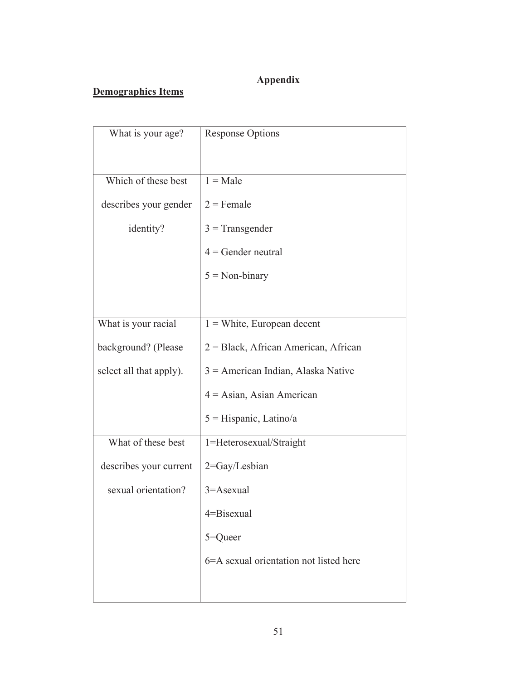# **Appendix**

# **Demographics Items**

| What is your age?       | <b>Response Options</b>                 |
|-------------------------|-----------------------------------------|
| Which of these best     | $1 = Male$                              |
| describes your gender   | $2$ = Female                            |
| identity?               | $3$ = Transgender                       |
|                         | $4 =$ Gender neutral                    |
|                         | $5 = Non-binary$                        |
|                         |                                         |
| What is your racial     | $1 =$ White, European decent            |
| background? (Please     | $2 = Black$ , African American, African |
| select all that apply). | $3$ = American Indian, Alaska Native    |
|                         | $4 = Asian, Asian American$             |
|                         | 5 = Hispanic, Latino/a                  |
| What of these best      | 1=Heterosexual/Straight                 |
| describes your current  | 2=Gay/Lesbian                           |
| sexual orientation?     | 3=Asexual                               |
|                         | 4=Bisexual                              |
|                         | 5=Queer                                 |
|                         | 6=A sexual orientation not listed here  |
|                         |                                         |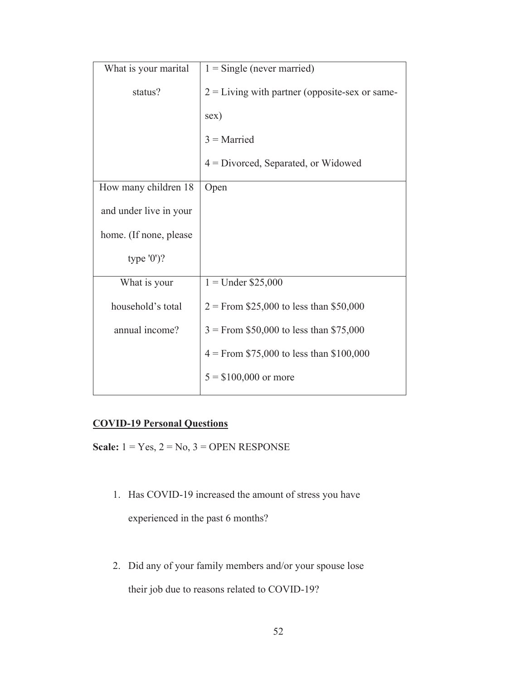| What is your marital   | $1 =$ Single (never married)                     |
|------------------------|--------------------------------------------------|
| status?                | $2 =$ Living with partner (opposite-sex or same- |
|                        | sex)                                             |
|                        | $3$ = Married                                    |
|                        | 4 = Divorced, Separated, or Widowed              |
| How many children 18   | Open                                             |
| and under live in your |                                                  |
| home. (If none, please |                                                  |
| type $'0$ )?           |                                                  |
| What is your           | $1 =$ Under \$25,000                             |
| household's total      | $2 =$ From \$25,000 to less than \$50,000        |
| annual income?         | $3 =$ From \$50,000 to less than \$75,000        |
|                        | $4 =$ From \$75,000 to less than \$100,000       |
|                        | $5 = $100,000$ or more                           |

# **COVID-19 Personal Questions**

**Scale:** 1 = Yes, 2 = No, 3 = OPEN RESPONSE

- 1. Has COVID-19 increased the amount of stress you have experienced in the past 6 months?
- 2. Did any of your family members and/or your spouse lose their job due to reasons related to COVID-19?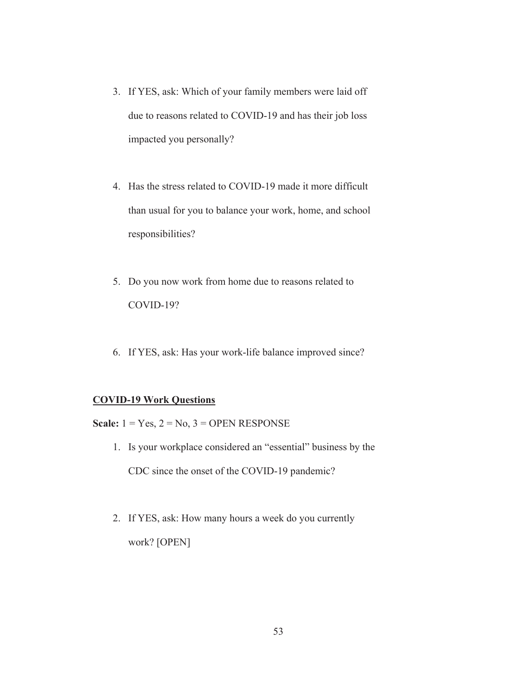- 3. If YES, ask: Which of your family members were laid off due to reasons related to COVID-19 and has their job loss impacted you personally?
- 4. Has the stress related to COVID-19 made it more difficult than usual for you to balance your work, home, and school responsibilities?
- 5. Do you now work from home due to reasons related to COVID-19?
- 6. If YES, ask: Has your work-life balance improved since?

### **COVID-19 Work Questions**

**Scale:**  $1 = Yes, 2 = No, 3 = OPER$  **RESPONSE** 

- 1. Is your workplace considered an "essential" business by the CDC since the onset of the COVID-19 pandemic?
- 2. If YES, ask: How many hours a week do you currently work? [OPEN]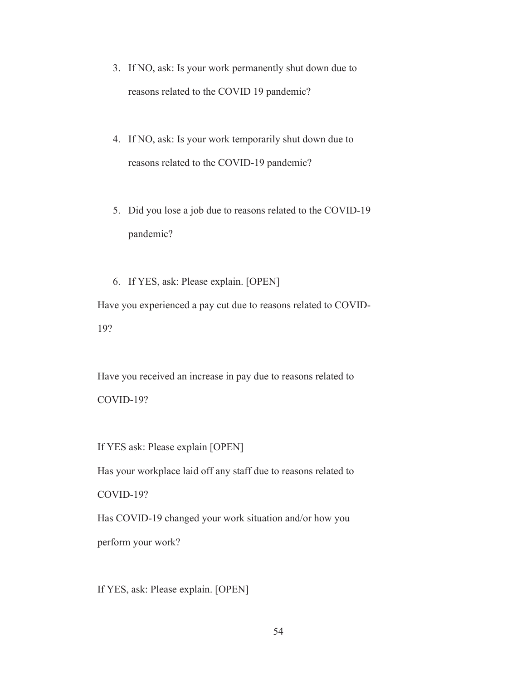- 3. If NO, ask: Is your work permanently shut down due to reasons related to the COVID 19 pandemic?
- 4. If NO, ask: Is your work temporarily shut down due to reasons related to the COVID-19 pandemic?
- 5. Did you lose a job due to reasons related to the COVID-19 pandemic?

6. If YES, ask: Please explain. [OPEN] Have you experienced a pay cut due to reasons related to COVID-19?

Have you received an increase in pay due to reasons related to COVID-19?

If YES ask: Please explain [OPEN]

Has your workplace laid off any staff due to reasons related to

COVID-19?

Has COVID-19 changed your work situation and/or how you perform your work?

If YES, ask: Please explain. [OPEN]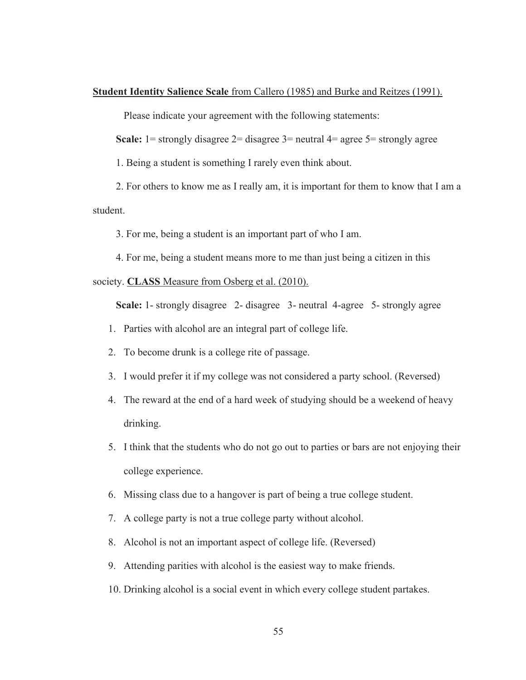#### **Student Identity Salience Scale** from Callero (1985) and Burke and Reitzes (1991).

Please indicate your agreement with the following statements:

**Scale:** 1= strongly disagree 2= disagree 3= neutral 4= agree 5= strongly agree

1. Being a student is something I rarely even think about.

2. For others to know me as I really am, it is important for them to know that I am a student.

3. For me, being a student is an important part of who I am.

4. For me, being a student means more to me than just being a citizen in this

#### society. **CLASS** Measure from Osberg et al. (2010).

**Scale:** 1- strongly disagree 2- disagree 3- neutral 4-agree 5- strongly agree

- 1. Parties with alcohol are an integral part of college life.
- 2. To become drunk is a college rite of passage.
- 3. I would prefer it if my college was not considered a party school. (Reversed)
- 4. The reward at the end of a hard week of studying should be a weekend of heavy drinking.
- 5. I think that the students who do not go out to parties or bars are not enjoying their college experience.
- 6. Missing class due to a hangover is part of being a true college student.
- 7. A college party is not a true college party without alcohol.
- 8. Alcohol is not an important aspect of college life. (Reversed)
- 9. Attending parities with alcohol is the easiest way to make friends.
- 10. Drinking alcohol is a social event in which every college student partakes.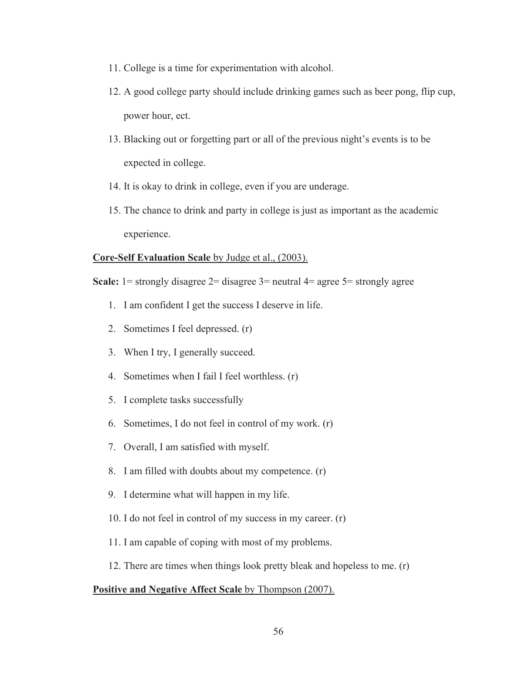- 11. College is a time for experimentation with alcohol.
- 12. A good college party should include drinking games such as beer pong, flip cup, power hour, ect.
- 13. Blacking out or forgetting part or all of the previous night's events is to be expected in college.
- 14. It is okay to drink in college, even if you are underage.
- 15. The chance to drink and party in college is just as important as the academic experience.

#### **Core-Self Evaluation Scale** by Judge et al., (2003).

**Scale:** 1= strongly disagree 2= disagree 3= neutral 4= agree 5= strongly agree

- 1. I am confident I get the success I deserve in life.
- 2. Sometimes I feel depressed. (r)
- 3. When I try, I generally succeed.
- 4. Sometimes when I fail I feel worthless. (r)
- 5. I complete tasks successfully
- 6. Sometimes, I do not feel in control of my work. (r)
- 7. Overall, I am satisfied with myself.
- 8. I am filled with doubts about my competence. (r)
- 9. I determine what will happen in my life.
- 10. I do not feel in control of my success in my career. (r)
- 11. I am capable of coping with most of my problems.
- 12. There are times when things look pretty bleak and hopeless to me. (r)

#### **Positive and Negative Affect Scale** by Thompson (2007).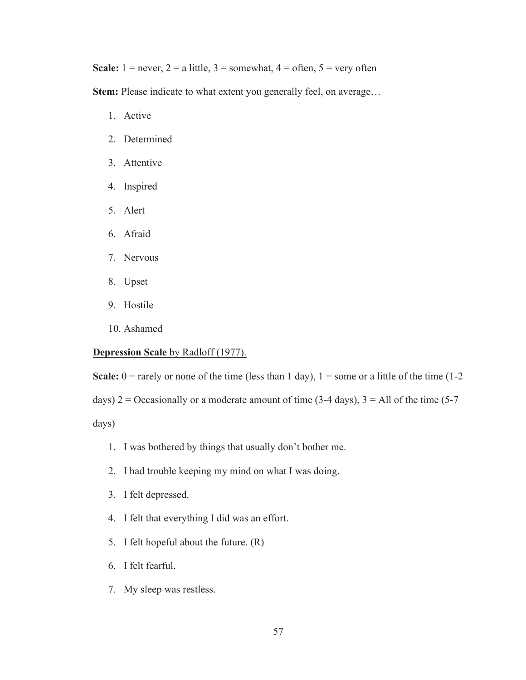**Scale:**  $1 = never, 2 = a$  little,  $3 =$  somewhat,  $4 =$  often,  $5 =$  very often

**Stem:** Please indicate to what extent you generally feel, on average…

- 1. Active
- 2. Determined
- 3. Attentive
- 4. Inspired
- 5. Alert
- 6. Afraid
- 7. Nervous
- 8. Upset
- 9. Hostile
- 10. Ashamed

#### **Depression Scale** by Radloff (1977).

**Scale:**  $0 =$  rarely or none of the time (less than 1 day),  $1 =$  some or a little of the time (1-2) days)  $2 =$  Occasionally or a moderate amount of time (3-4 days),  $3 =$  All of the time (5-7

days)

- 1. I was bothered by things that usually don't bother me.
- 2. I had trouble keeping my mind on what I was doing.
- 3. I felt depressed.
- 4. I felt that everything I did was an effort.
- 5. I felt hopeful about the future. (R)
- 6. I felt fearful.
- 7. My sleep was restless.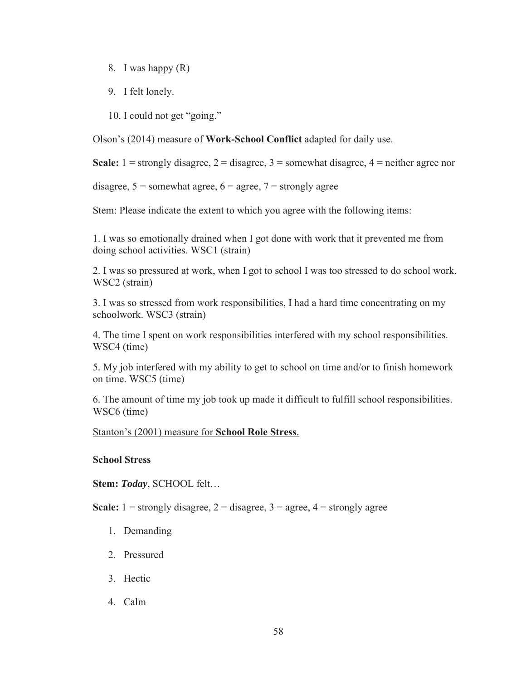- 8. I was happy (R)
- 9. I felt lonely.

10. I could not get "going."

### Olson's (2014) measure of **Work-School Conflict** adapted for daily use.

**Scale:**  $1 =$  strongly disagree,  $2 =$  disagree,  $3 =$  somewhat disagree,  $4 =$  neither agree nor

disagree,  $5 =$  somewhat agree,  $6 =$  agree,  $7 =$  strongly agree

Stem: Please indicate the extent to which you agree with the following items:

1. I was so emotionally drained when I got done with work that it prevented me from doing school activities. WSC1 (strain)

2. I was so pressured at work, when I got to school I was too stressed to do school work. WSC2 (strain)

3. I was so stressed from work responsibilities, I had a hard time concentrating on my schoolwork. WSC3 (strain)

4. The time I spent on work responsibilities interfered with my school responsibilities. WSC4 (time)

5. My job interfered with my ability to get to school on time and/or to finish homework on time. WSC5 (time)

6. The amount of time my job took up made it difficult to fulfill school responsibilities. WSC6 (time)

### Stanton's (2001) measure for **School Role Stress**.

### **School Stress**

**Stem:** *Today*, SCHOOL felt…

**Scale:**  $1 =$  strongly disagree,  $2 =$  disagree,  $3 =$  agree,  $4 =$  strongly agree

- 1. Demanding
- 2. Pressured
- 3. Hectic
- 4. Calm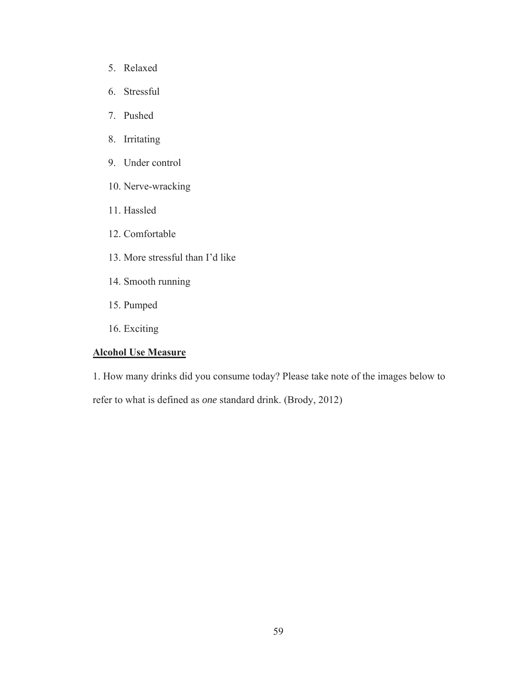- 5. Relaxed
- 6. Stressful
- 7. Pushed
- 8. Irritating
- 9. Under control
- 10. Nerve-wracking
- 11. Hassled
- 12. Comfortable
- 13. More stressful than I'd like
- 14. Smooth running
- 15. Pumped
- 16. Exciting

# **Alcohol Use Measure**

1. How many drinks did you consume today? Please take note of the images below to

refer to what is defined as *one* standard drink. (Brody, 2012)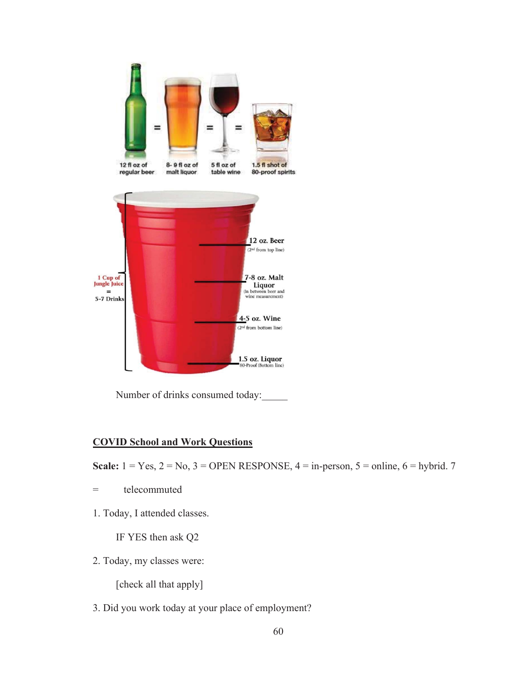

Number of drinks consumed today:

## **COVID School and Work Questions**

**Scale:**  $1 = Yes, 2 = No, 3 = OPERl$  RESPONSE,  $4 = in-person, 5 = online, 6 = hybrid. 7$ 

- = telecommuted
- 1. Today, I attended classes.

IF YES then ask Q2

2. Today, my classes were:

[check all that apply]

3. Did you work today at your place of employment?